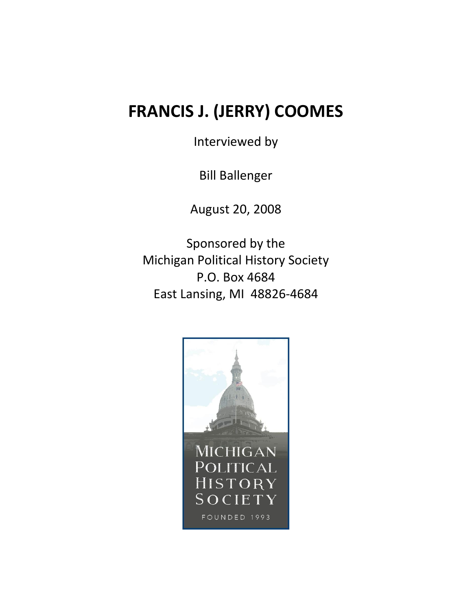## **FRANCIS J. (JERRY) COOMES**

Interviewed by

Bill Ballenger

August 20, 2008

Sponsored by the Michigan Political History Society P.O. Box 4684 East Lansing, MI 48826-4684

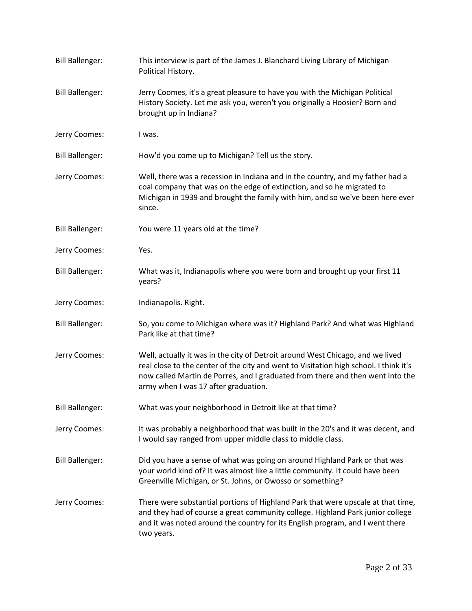| <b>Bill Ballenger:</b> | This interview is part of the James J. Blanchard Living Library of Michigan<br>Political History.                                                                                                                                                                                                 |
|------------------------|---------------------------------------------------------------------------------------------------------------------------------------------------------------------------------------------------------------------------------------------------------------------------------------------------|
| <b>Bill Ballenger:</b> | Jerry Coomes, it's a great pleasure to have you with the Michigan Political<br>History Society. Let me ask you, weren't you originally a Hoosier? Born and<br>brought up in Indiana?                                                                                                              |
| Jerry Coomes:          | I was.                                                                                                                                                                                                                                                                                            |
| <b>Bill Ballenger:</b> | How'd you come up to Michigan? Tell us the story.                                                                                                                                                                                                                                                 |
| Jerry Coomes:          | Well, there was a recession in Indiana and in the country, and my father had a<br>coal company that was on the edge of extinction, and so he migrated to<br>Michigan in 1939 and brought the family with him, and so we've been here ever<br>since.                                               |
| <b>Bill Ballenger:</b> | You were 11 years old at the time?                                                                                                                                                                                                                                                                |
| Jerry Coomes:          | Yes.                                                                                                                                                                                                                                                                                              |
| <b>Bill Ballenger:</b> | What was it, Indianapolis where you were born and brought up your first 11<br>years?                                                                                                                                                                                                              |
| Jerry Coomes:          | Indianapolis. Right.                                                                                                                                                                                                                                                                              |
| <b>Bill Ballenger:</b> | So, you come to Michigan where was it? Highland Park? And what was Highland<br>Park like at that time?                                                                                                                                                                                            |
| Jerry Coomes:          | Well, actually it was in the city of Detroit around West Chicago, and we lived<br>real close to the center of the city and went to Visitation high school. I think it's<br>now called Martin de Porres, and I graduated from there and then went into the<br>army when I was 17 after graduation. |
| <b>Bill Ballenger:</b> | What was your neighborhood in Detroit like at that time?                                                                                                                                                                                                                                          |
| Jerry Coomes:          | It was probably a neighborhood that was built in the 20's and it was decent, and<br>I would say ranged from upper middle class to middle class.                                                                                                                                                   |
| <b>Bill Ballenger:</b> | Did you have a sense of what was going on around Highland Park or that was<br>your world kind of? It was almost like a little community. It could have been<br>Greenville Michigan, or St. Johns, or Owosso or something?                                                                         |
| Jerry Coomes:          | There were substantial portions of Highland Park that were upscale at that time,<br>and they had of course a great community college. Highland Park junior college<br>and it was noted around the country for its English program, and I went there<br>two years.                                 |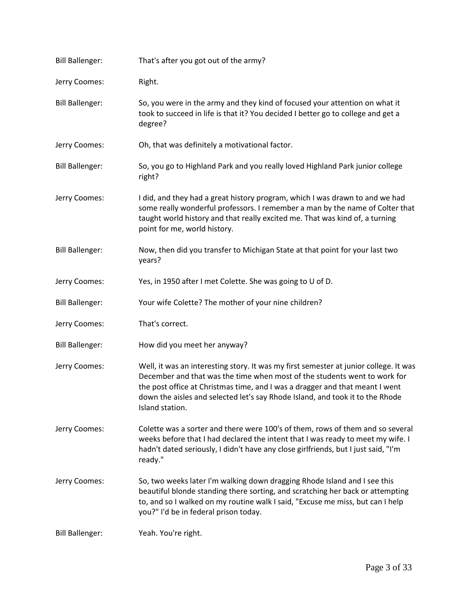| <b>Bill Ballenger:</b> | That's after you got out of the army?                                                                                                                                                                                                                                                                                                                  |
|------------------------|--------------------------------------------------------------------------------------------------------------------------------------------------------------------------------------------------------------------------------------------------------------------------------------------------------------------------------------------------------|
| Jerry Coomes:          | Right.                                                                                                                                                                                                                                                                                                                                                 |
| <b>Bill Ballenger:</b> | So, you were in the army and they kind of focused your attention on what it<br>took to succeed in life is that it? You decided I better go to college and get a<br>degree?                                                                                                                                                                             |
| Jerry Coomes:          | Oh, that was definitely a motivational factor.                                                                                                                                                                                                                                                                                                         |
| <b>Bill Ballenger:</b> | So, you go to Highland Park and you really loved Highland Park junior college<br>right?                                                                                                                                                                                                                                                                |
| Jerry Coomes:          | I did, and they had a great history program, which I was drawn to and we had<br>some really wonderful professors. I remember a man by the name of Colter that<br>taught world history and that really excited me. That was kind of, a turning<br>point for me, world history.                                                                          |
| <b>Bill Ballenger:</b> | Now, then did you transfer to Michigan State at that point for your last two<br>years?                                                                                                                                                                                                                                                                 |
| Jerry Coomes:          | Yes, in 1950 after I met Colette. She was going to U of D.                                                                                                                                                                                                                                                                                             |
| <b>Bill Ballenger:</b> | Your wife Colette? The mother of your nine children?                                                                                                                                                                                                                                                                                                   |
| Jerry Coomes:          | That's correct.                                                                                                                                                                                                                                                                                                                                        |
| <b>Bill Ballenger:</b> | How did you meet her anyway?                                                                                                                                                                                                                                                                                                                           |
| Jerry Coomes:          | Well, it was an interesting story. It was my first semester at junior college. It was<br>December and that was the time when most of the students went to work for<br>the post office at Christmas time, and I was a dragger and that meant I went<br>down the aisles and selected let's say Rhode Island, and took it to the Rhode<br>Island station. |
| Jerry Coomes:          | Colette was a sorter and there were 100's of them, rows of them and so several<br>weeks before that I had declared the intent that I was ready to meet my wife. I<br>hadn't dated seriously, I didn't have any close girlfriends, but I just said, "I'm<br>ready."                                                                                     |
| Jerry Coomes:          | So, two weeks later I'm walking down dragging Rhode Island and I see this<br>beautiful blonde standing there sorting, and scratching her back or attempting<br>to, and so I walked on my routine walk I said, "Excuse me miss, but can I help<br>you?" I'd be in federal prison today.                                                                 |
| <b>Bill Ballenger:</b> | Yeah. You're right.                                                                                                                                                                                                                                                                                                                                    |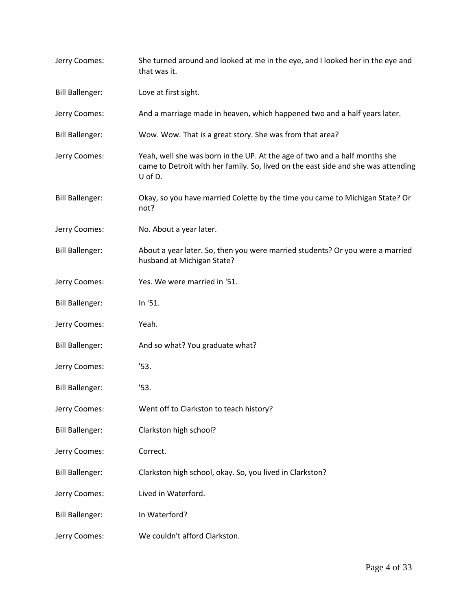| Jerry Coomes:          | She turned around and looked at me in the eye, and I looked her in the eye and<br>that was it.                                                                             |
|------------------------|----------------------------------------------------------------------------------------------------------------------------------------------------------------------------|
| <b>Bill Ballenger:</b> | Love at first sight.                                                                                                                                                       |
| Jerry Coomes:          | And a marriage made in heaven, which happened two and a half years later.                                                                                                  |
| <b>Bill Ballenger:</b> | Wow. Wow. That is a great story. She was from that area?                                                                                                                   |
| Jerry Coomes:          | Yeah, well she was born in the UP. At the age of two and a half months she<br>came to Detroit with her family. So, lived on the east side and she was attending<br>U of D. |
| <b>Bill Ballenger:</b> | Okay, so you have married Colette by the time you came to Michigan State? Or<br>not?                                                                                       |
| Jerry Coomes:          | No. About a year later.                                                                                                                                                    |
| <b>Bill Ballenger:</b> | About a year later. So, then you were married students? Or you were a married<br>husband at Michigan State?                                                                |
| Jerry Coomes:          | Yes. We were married in '51.                                                                                                                                               |
| <b>Bill Ballenger:</b> | In '51.                                                                                                                                                                    |
| Jerry Coomes:          | Yeah.                                                                                                                                                                      |
| <b>Bill Ballenger:</b> | And so what? You graduate what?                                                                                                                                            |
| Jerry Coomes:          | '53.                                                                                                                                                                       |
| <b>Bill Ballenger:</b> | '53.                                                                                                                                                                       |
| Jerry Coomes:          | Went off to Clarkston to teach history?                                                                                                                                    |
| <b>Bill Ballenger:</b> | Clarkston high school?                                                                                                                                                     |
| Jerry Coomes:          | Correct.                                                                                                                                                                   |
| <b>Bill Ballenger:</b> | Clarkston high school, okay. So, you lived in Clarkston?                                                                                                                   |
| Jerry Coomes:          | Lived in Waterford.                                                                                                                                                        |
| <b>Bill Ballenger:</b> | In Waterford?                                                                                                                                                              |
| Jerry Coomes:          | We couldn't afford Clarkston.                                                                                                                                              |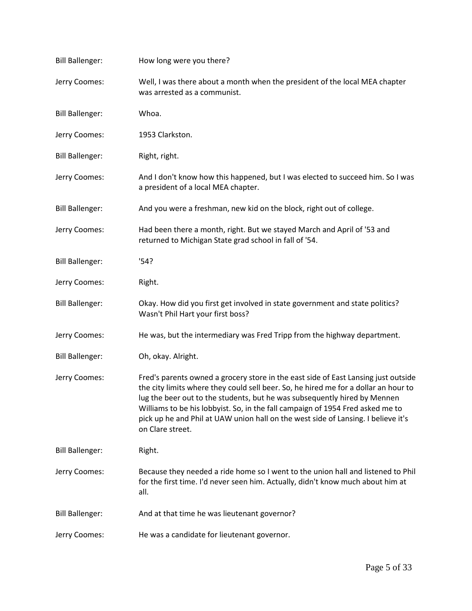| <b>Bill Ballenger:</b> | How long were you there?                                                                                                                                                                                                                                                                                                                                                                                                                          |
|------------------------|---------------------------------------------------------------------------------------------------------------------------------------------------------------------------------------------------------------------------------------------------------------------------------------------------------------------------------------------------------------------------------------------------------------------------------------------------|
| Jerry Coomes:          | Well, I was there about a month when the president of the local MEA chapter<br>was arrested as a communist.                                                                                                                                                                                                                                                                                                                                       |
| <b>Bill Ballenger:</b> | Whoa.                                                                                                                                                                                                                                                                                                                                                                                                                                             |
| Jerry Coomes:          | 1953 Clarkston.                                                                                                                                                                                                                                                                                                                                                                                                                                   |
| <b>Bill Ballenger:</b> | Right, right.                                                                                                                                                                                                                                                                                                                                                                                                                                     |
| Jerry Coomes:          | And I don't know how this happened, but I was elected to succeed him. So I was<br>a president of a local MEA chapter.                                                                                                                                                                                                                                                                                                                             |
| <b>Bill Ballenger:</b> | And you were a freshman, new kid on the block, right out of college.                                                                                                                                                                                                                                                                                                                                                                              |
| Jerry Coomes:          | Had been there a month, right. But we stayed March and April of '53 and<br>returned to Michigan State grad school in fall of '54.                                                                                                                                                                                                                                                                                                                 |
| <b>Bill Ballenger:</b> | '54?                                                                                                                                                                                                                                                                                                                                                                                                                                              |
| Jerry Coomes:          | Right.                                                                                                                                                                                                                                                                                                                                                                                                                                            |
| <b>Bill Ballenger:</b> | Okay. How did you first get involved in state government and state politics?<br>Wasn't Phil Hart your first boss?                                                                                                                                                                                                                                                                                                                                 |
| Jerry Coomes:          | He was, but the intermediary was Fred Tripp from the highway department.                                                                                                                                                                                                                                                                                                                                                                          |
| <b>Bill Ballenger:</b> | Oh, okay. Alright.                                                                                                                                                                                                                                                                                                                                                                                                                                |
| Jerry Coomes:          | Fred's parents owned a grocery store in the east side of East Lansing just outside<br>the city limits where they could sell beer. So, he hired me for a dollar an hour to<br>lug the beer out to the students, but he was subsequently hired by Mennen<br>Williams to be his lobbyist. So, in the fall campaign of 1954 Fred asked me to<br>pick up he and Phil at UAW union hall on the west side of Lansing. I believe it's<br>on Clare street. |
| <b>Bill Ballenger:</b> | Right.                                                                                                                                                                                                                                                                                                                                                                                                                                            |
| Jerry Coomes:          | Because they needed a ride home so I went to the union hall and listened to Phil<br>for the first time. I'd never seen him. Actually, didn't know much about him at<br>all.                                                                                                                                                                                                                                                                       |
| <b>Bill Ballenger:</b> | And at that time he was lieutenant governor?                                                                                                                                                                                                                                                                                                                                                                                                      |
| Jerry Coomes:          | He was a candidate for lieutenant governor.                                                                                                                                                                                                                                                                                                                                                                                                       |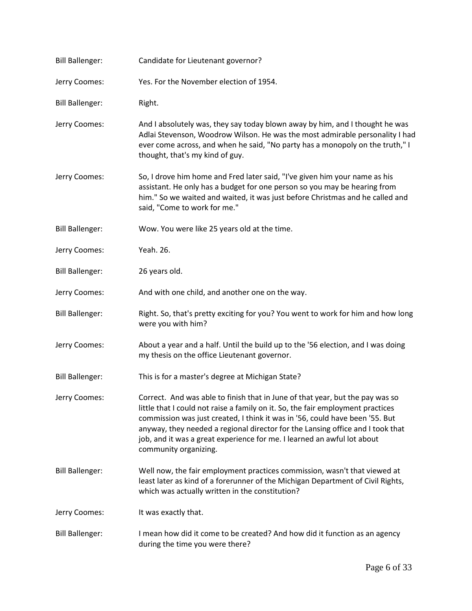| <b>Bill Ballenger:</b> | Candidate for Lieutenant governor?                                                                                                                                                                                                                                                                                                                                                                                                     |
|------------------------|----------------------------------------------------------------------------------------------------------------------------------------------------------------------------------------------------------------------------------------------------------------------------------------------------------------------------------------------------------------------------------------------------------------------------------------|
| Jerry Coomes:          | Yes. For the November election of 1954.                                                                                                                                                                                                                                                                                                                                                                                                |
| <b>Bill Ballenger:</b> | Right.                                                                                                                                                                                                                                                                                                                                                                                                                                 |
| Jerry Coomes:          | And I absolutely was, they say today blown away by him, and I thought he was<br>Adlai Stevenson, Woodrow Wilson. He was the most admirable personality I had<br>ever come across, and when he said, "No party has a monopoly on the truth," I<br>thought, that's my kind of guy.                                                                                                                                                       |
| Jerry Coomes:          | So, I drove him home and Fred later said, "I've given him your name as his<br>assistant. He only has a budget for one person so you may be hearing from<br>him." So we waited and waited, it was just before Christmas and he called and<br>said, "Come to work for me."                                                                                                                                                               |
| <b>Bill Ballenger:</b> | Wow. You were like 25 years old at the time.                                                                                                                                                                                                                                                                                                                                                                                           |
| Jerry Coomes:          | Yeah. 26.                                                                                                                                                                                                                                                                                                                                                                                                                              |
| <b>Bill Ballenger:</b> | 26 years old.                                                                                                                                                                                                                                                                                                                                                                                                                          |
| Jerry Coomes:          | And with one child, and another one on the way.                                                                                                                                                                                                                                                                                                                                                                                        |
| <b>Bill Ballenger:</b> | Right. So, that's pretty exciting for you? You went to work for him and how long<br>were you with him?                                                                                                                                                                                                                                                                                                                                 |
| Jerry Coomes:          | About a year and a half. Until the build up to the '56 election, and I was doing<br>my thesis on the office Lieutenant governor.                                                                                                                                                                                                                                                                                                       |
| <b>Bill Ballenger:</b> | This is for a master's degree at Michigan State?                                                                                                                                                                                                                                                                                                                                                                                       |
| Jerry Coomes:          | Correct. And was able to finish that in June of that year, but the pay was so<br>little that I could not raise a family on it. So, the fair employment practices<br>commission was just created, I think it was in '56, could have been '55. But<br>anyway, they needed a regional director for the Lansing office and I took that<br>job, and it was a great experience for me. I learned an awful lot about<br>community organizing. |
| <b>Bill Ballenger:</b> | Well now, the fair employment practices commission, wasn't that viewed at<br>least later as kind of a forerunner of the Michigan Department of Civil Rights,<br>which was actually written in the constitution?                                                                                                                                                                                                                        |
| Jerry Coomes:          | It was exactly that.                                                                                                                                                                                                                                                                                                                                                                                                                   |
| <b>Bill Ballenger:</b> | I mean how did it come to be created? And how did it function as an agency<br>during the time you were there?                                                                                                                                                                                                                                                                                                                          |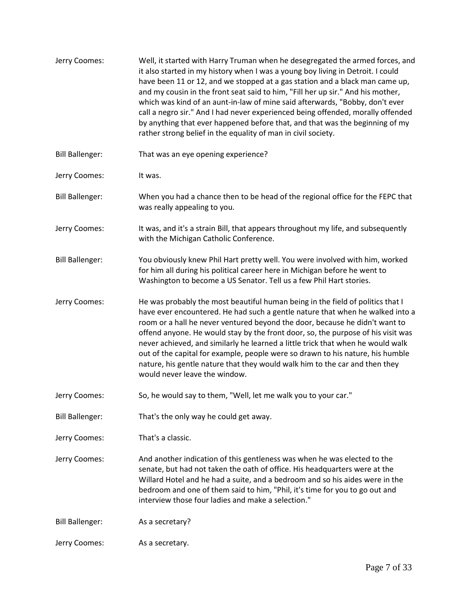| Jerry Coomes:          | Well, it started with Harry Truman when he desegregated the armed forces, and<br>it also started in my history when I was a young boy living in Detroit. I could<br>have been 11 or 12, and we stopped at a gas station and a black man came up,<br>and my cousin in the front seat said to him, "Fill her up sir." And his mother,<br>which was kind of an aunt-in-law of mine said afterwards, "Bobby, don't ever<br>call a negro sir." And I had never experienced being offended, morally offended<br>by anything that ever happened before that, and that was the beginning of my<br>rather strong belief in the equality of man in civil society. |
|------------------------|---------------------------------------------------------------------------------------------------------------------------------------------------------------------------------------------------------------------------------------------------------------------------------------------------------------------------------------------------------------------------------------------------------------------------------------------------------------------------------------------------------------------------------------------------------------------------------------------------------------------------------------------------------|
| <b>Bill Ballenger:</b> | That was an eye opening experience?                                                                                                                                                                                                                                                                                                                                                                                                                                                                                                                                                                                                                     |
| Jerry Coomes:          | It was.                                                                                                                                                                                                                                                                                                                                                                                                                                                                                                                                                                                                                                                 |
| <b>Bill Ballenger:</b> | When you had a chance then to be head of the regional office for the FEPC that<br>was really appealing to you.                                                                                                                                                                                                                                                                                                                                                                                                                                                                                                                                          |
| Jerry Coomes:          | It was, and it's a strain Bill, that appears throughout my life, and subsequently<br>with the Michigan Catholic Conference.                                                                                                                                                                                                                                                                                                                                                                                                                                                                                                                             |
| <b>Bill Ballenger:</b> | You obviously knew Phil Hart pretty well. You were involved with him, worked<br>for him all during his political career here in Michigan before he went to<br>Washington to become a US Senator. Tell us a few Phil Hart stories.                                                                                                                                                                                                                                                                                                                                                                                                                       |
| Jerry Coomes:          | He was probably the most beautiful human being in the field of politics that I<br>have ever encountered. He had such a gentle nature that when he walked into a<br>room or a hall he never ventured beyond the door, because he didn't want to<br>offend anyone. He would stay by the front door, so, the purpose of his visit was<br>never achieved, and similarly he learned a little trick that when he would walk<br>out of the capital for example, people were so drawn to his nature, his humble<br>nature, his gentle nature that they would walk him to the car and then they<br>would never leave the window.                                 |
| Jerry Coomes:          | So, he would say to them, "Well, let me walk you to your car."                                                                                                                                                                                                                                                                                                                                                                                                                                                                                                                                                                                          |
| <b>Bill Ballenger:</b> | That's the only way he could get away.                                                                                                                                                                                                                                                                                                                                                                                                                                                                                                                                                                                                                  |
| Jerry Coomes:          | That's a classic.                                                                                                                                                                                                                                                                                                                                                                                                                                                                                                                                                                                                                                       |
| Jerry Coomes:          | And another indication of this gentleness was when he was elected to the<br>senate, but had not taken the oath of office. His headquarters were at the<br>Willard Hotel and he had a suite, and a bedroom and so his aides were in the<br>bedroom and one of them said to him, "Phil, it's time for you to go out and<br>interview those four ladies and make a selection."                                                                                                                                                                                                                                                                             |
| <b>Bill Ballenger:</b> | As a secretary?                                                                                                                                                                                                                                                                                                                                                                                                                                                                                                                                                                                                                                         |
| Jerry Coomes:          | As a secretary.                                                                                                                                                                                                                                                                                                                                                                                                                                                                                                                                                                                                                                         |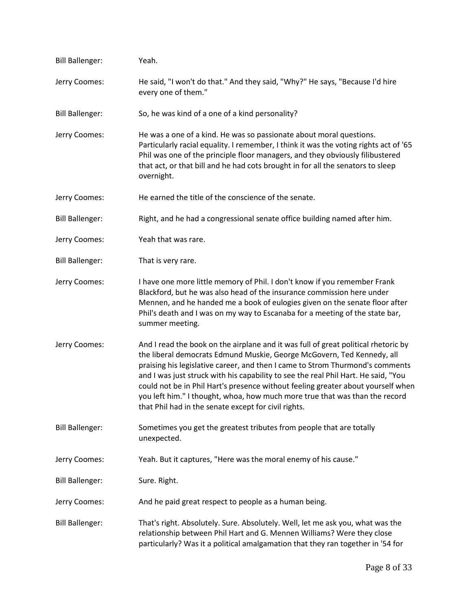| <b>Bill Ballenger:</b> | Yeah.                                                                                                                                                                                                                                                                                                                                                                                                                                                                                                                                                          |
|------------------------|----------------------------------------------------------------------------------------------------------------------------------------------------------------------------------------------------------------------------------------------------------------------------------------------------------------------------------------------------------------------------------------------------------------------------------------------------------------------------------------------------------------------------------------------------------------|
| Jerry Coomes:          | He said, "I won't do that." And they said, "Why?" He says, "Because I'd hire<br>every one of them."                                                                                                                                                                                                                                                                                                                                                                                                                                                            |
| <b>Bill Ballenger:</b> | So, he was kind of a one of a kind personality?                                                                                                                                                                                                                                                                                                                                                                                                                                                                                                                |
| Jerry Coomes:          | He was a one of a kind. He was so passionate about moral questions.<br>Particularly racial equality. I remember, I think it was the voting rights act of '65<br>Phil was one of the principle floor managers, and they obviously filibustered<br>that act, or that bill and he had cots brought in for all the senators to sleep<br>overnight.                                                                                                                                                                                                                 |
| Jerry Coomes:          | He earned the title of the conscience of the senate.                                                                                                                                                                                                                                                                                                                                                                                                                                                                                                           |
| <b>Bill Ballenger:</b> | Right, and he had a congressional senate office building named after him.                                                                                                                                                                                                                                                                                                                                                                                                                                                                                      |
| Jerry Coomes:          | Yeah that was rare.                                                                                                                                                                                                                                                                                                                                                                                                                                                                                                                                            |
| <b>Bill Ballenger:</b> | That is very rare.                                                                                                                                                                                                                                                                                                                                                                                                                                                                                                                                             |
| Jerry Coomes:          | I have one more little memory of Phil. I don't know if you remember Frank<br>Blackford, but he was also head of the insurance commission here under<br>Mennen, and he handed me a book of eulogies given on the senate floor after<br>Phil's death and I was on my way to Escanaba for a meeting of the state bar,<br>summer meeting.                                                                                                                                                                                                                          |
| Jerry Coomes:          | And I read the book on the airplane and it was full of great political rhetoric by<br>the liberal democrats Edmund Muskie, George McGovern, Ted Kennedy, all<br>praising his legislative career, and then I came to Strom Thurmond's comments<br>and I was just struck with his capability to see the real Phil Hart. He said, "You<br>could not be in Phil Hart's presence without feeling greater about yourself when<br>you left him." I thought, whoa, how much more true that was than the record<br>that Phil had in the senate except for civil rights. |
| <b>Bill Ballenger:</b> | Sometimes you get the greatest tributes from people that are totally<br>unexpected.                                                                                                                                                                                                                                                                                                                                                                                                                                                                            |
| Jerry Coomes:          | Yeah. But it captures, "Here was the moral enemy of his cause."                                                                                                                                                                                                                                                                                                                                                                                                                                                                                                |
| <b>Bill Ballenger:</b> | Sure. Right.                                                                                                                                                                                                                                                                                                                                                                                                                                                                                                                                                   |
| Jerry Coomes:          | And he paid great respect to people as a human being.                                                                                                                                                                                                                                                                                                                                                                                                                                                                                                          |
| <b>Bill Ballenger:</b> | That's right. Absolutely. Sure. Absolutely. Well, let me ask you, what was the<br>relationship between Phil Hart and G. Mennen Williams? Were they close<br>particularly? Was it a political amalgamation that they ran together in '54 for                                                                                                                                                                                                                                                                                                                    |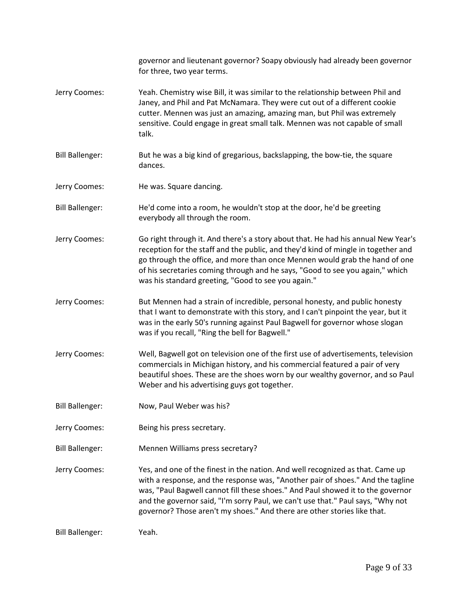|                        | governor and lieutenant governor? Soapy obviously had already been governor<br>for three, two year terms.                                                                                                                                                                                                                                                                                                           |
|------------------------|---------------------------------------------------------------------------------------------------------------------------------------------------------------------------------------------------------------------------------------------------------------------------------------------------------------------------------------------------------------------------------------------------------------------|
| Jerry Coomes:          | Yeah. Chemistry wise Bill, it was similar to the relationship between Phil and<br>Janey, and Phil and Pat McNamara. They were cut out of a different cookie<br>cutter. Mennen was just an amazing, amazing man, but Phil was extremely<br>sensitive. Could engage in great small talk. Mennen was not capable of small<br>talk.                                                                                     |
| <b>Bill Ballenger:</b> | But he was a big kind of gregarious, backslapping, the bow-tie, the square<br>dances.                                                                                                                                                                                                                                                                                                                               |
| Jerry Coomes:          | He was. Square dancing.                                                                                                                                                                                                                                                                                                                                                                                             |
| <b>Bill Ballenger:</b> | He'd come into a room, he wouldn't stop at the door, he'd be greeting<br>everybody all through the room.                                                                                                                                                                                                                                                                                                            |
| Jerry Coomes:          | Go right through it. And there's a story about that. He had his annual New Year's<br>reception for the staff and the public, and they'd kind of mingle in together and<br>go through the office, and more than once Mennen would grab the hand of one<br>of his secretaries coming through and he says, "Good to see you again," which<br>was his standard greeting, "Good to see you again."                       |
| Jerry Coomes:          | But Mennen had a strain of incredible, personal honesty, and public honesty<br>that I want to demonstrate with this story, and I can't pinpoint the year, but it<br>was in the early 50's running against Paul Bagwell for governor whose slogan<br>was if you recall, "Ring the bell for Bagwell."                                                                                                                 |
| Jerry Coomes:          | Well, Bagwell got on television one of the first use of advertisements, television<br>commercials in Michigan history, and his commercial featured a pair of very<br>beautiful shoes. These are the shoes worn by our wealthy governor, and so Paul<br>Weber and his advertising guys got together.                                                                                                                 |
| <b>Bill Ballenger:</b> | Now, Paul Weber was his?                                                                                                                                                                                                                                                                                                                                                                                            |
| Jerry Coomes:          | Being his press secretary.                                                                                                                                                                                                                                                                                                                                                                                          |
| <b>Bill Ballenger:</b> | Mennen Williams press secretary?                                                                                                                                                                                                                                                                                                                                                                                    |
| Jerry Coomes:          | Yes, and one of the finest in the nation. And well recognized as that. Came up<br>with a response, and the response was, "Another pair of shoes." And the tagline<br>was, "Paul Bagwell cannot fill these shoes." And Paul showed it to the governor<br>and the governor said, "I'm sorry Paul, we can't use that." Paul says, "Why not<br>governor? Those aren't my shoes." And there are other stories like that. |
| <b>Bill Ballenger:</b> | Yeah.                                                                                                                                                                                                                                                                                                                                                                                                               |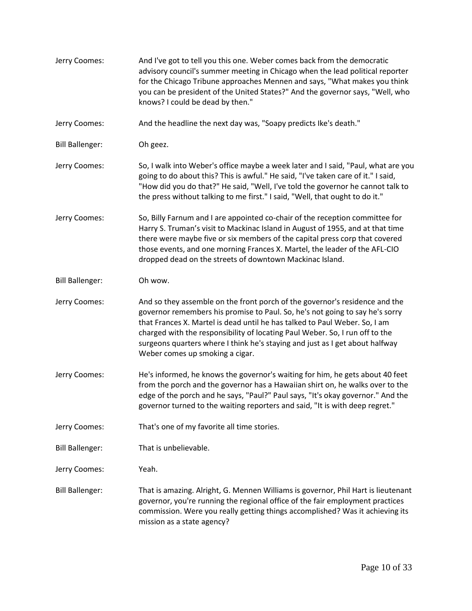Jerry Coomes: And I've got to tell you this one. Weber comes back from the democratic advisory council's summer meeting in Chicago when the lead political reporter for the Chicago Tribune approaches Mennen and says, "What makes you think you can be president of the United States?" And the governor says, "Well, who knows? I could be dead by then." Jerry Coomes: And the headline the next day was, "Soapy predicts Ike's death." Bill Ballenger: Oh geez. Jerry Coomes: So, I walk into Weber's office maybe a week later and I said, "Paul, what are you going to do about this? This is awful." He said, "I've taken care of it." I said, "How did you do that?" He said, "Well, I've told the governor he cannot talk to the press without talking to me first." I said, "Well, that ought to do it." Jerry Coomes: So, Billy Farnum and I are appointed co-chair of the reception committee for Harry S. Truman's visit to Mackinac Island in August of 1955, and at that time there were maybe five or six members of the capital press corp that covered those events, and one morning Frances X. Martel, the leader of the AFL-CIO dropped dead on the streets of downtown Mackinac Island. Bill Ballenger: Oh wow. Jerry Coomes: And so they assemble on the front porch of the governor's residence and the governor remembers his promise to Paul. So, he's not going to say he's sorry that Frances X. Martel is dead until he has talked to Paul Weber. So, I am charged with the responsibility of locating Paul Weber. So, I run off to the surgeons quarters where I think he's staying and just as I get about halfway Weber comes up smoking a cigar. Jerry Coomes: He's informed, he knows the governor's waiting for him, he gets about 40 feet from the porch and the governor has a Hawaiian shirt on, he walks over to the edge of the porch and he says, "Paul?" Paul says, "It's okay governor." And the governor turned to the waiting reporters and said, "It is with deep regret." Jerry Coomes: That's one of my favorite all time stories. Bill Ballenger: That is unbelievable. Jerry Coomes: Yeah. Bill Ballenger: That is amazing. Alright, G. Mennen Williams is governor, Phil Hart is lieutenant governor, you're running the regional office of the fair employment practices commission. Were you really getting things accomplished? Was it achieving its mission as a state agency?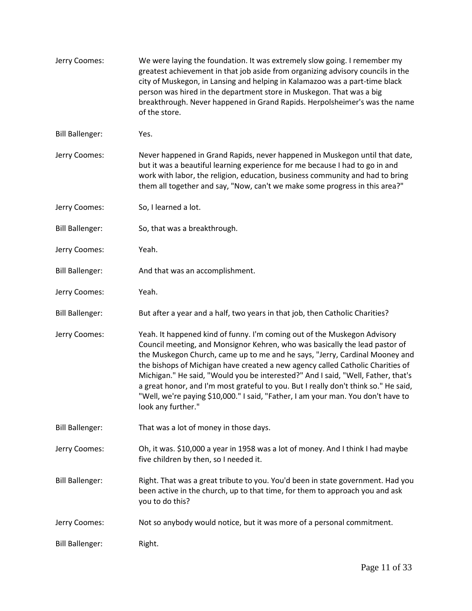| Jerry Coomes:          | We were laying the foundation. It was extremely slow going. I remember my<br>greatest achievement in that job aside from organizing advisory councils in the<br>city of Muskegon, in Lansing and helping in Kalamazoo was a part-time black<br>person was hired in the department store in Muskegon. That was a big<br>breakthrough. Never happened in Grand Rapids. Herpolsheimer's was the name<br>of the store.                                                                                                                                                                                            |
|------------------------|---------------------------------------------------------------------------------------------------------------------------------------------------------------------------------------------------------------------------------------------------------------------------------------------------------------------------------------------------------------------------------------------------------------------------------------------------------------------------------------------------------------------------------------------------------------------------------------------------------------|
| <b>Bill Ballenger:</b> | Yes.                                                                                                                                                                                                                                                                                                                                                                                                                                                                                                                                                                                                          |
| Jerry Coomes:          | Never happened in Grand Rapids, never happened in Muskegon until that date,<br>but it was a beautiful learning experience for me because I had to go in and<br>work with labor, the religion, education, business community and had to bring<br>them all together and say, "Now, can't we make some progress in this area?"                                                                                                                                                                                                                                                                                   |
| Jerry Coomes:          | So, I learned a lot.                                                                                                                                                                                                                                                                                                                                                                                                                                                                                                                                                                                          |
| <b>Bill Ballenger:</b> | So, that was a breakthrough.                                                                                                                                                                                                                                                                                                                                                                                                                                                                                                                                                                                  |
| Jerry Coomes:          | Yeah.                                                                                                                                                                                                                                                                                                                                                                                                                                                                                                                                                                                                         |
| <b>Bill Ballenger:</b> | And that was an accomplishment.                                                                                                                                                                                                                                                                                                                                                                                                                                                                                                                                                                               |
| Jerry Coomes:          | Yeah.                                                                                                                                                                                                                                                                                                                                                                                                                                                                                                                                                                                                         |
| <b>Bill Ballenger:</b> | But after a year and a half, two years in that job, then Catholic Charities?                                                                                                                                                                                                                                                                                                                                                                                                                                                                                                                                  |
| Jerry Coomes:          | Yeah. It happened kind of funny. I'm coming out of the Muskegon Advisory<br>Council meeting, and Monsignor Kehren, who was basically the lead pastor of<br>the Muskegon Church, came up to me and he says, "Jerry, Cardinal Mooney and<br>the bishops of Michigan have created a new agency called Catholic Charities of<br>Michigan." He said, "Would you be interested?" And I said, "Well, Father, that's<br>a great honor, and I'm most grateful to you. But I really don't think so." He said,<br>"Well, we're paying \$10,000." I said, "Father, I am your man. You don't have to<br>look any further." |
| <b>Bill Ballenger:</b> | That was a lot of money in those days.                                                                                                                                                                                                                                                                                                                                                                                                                                                                                                                                                                        |
| Jerry Coomes:          | Oh, it was. \$10,000 a year in 1958 was a lot of money. And I think I had maybe<br>five children by then, so I needed it.                                                                                                                                                                                                                                                                                                                                                                                                                                                                                     |
| <b>Bill Ballenger:</b> | Right. That was a great tribute to you. You'd been in state government. Had you<br>been active in the church, up to that time, for them to approach you and ask<br>you to do this?                                                                                                                                                                                                                                                                                                                                                                                                                            |
| Jerry Coomes:          | Not so anybody would notice, but it was more of a personal commitment.                                                                                                                                                                                                                                                                                                                                                                                                                                                                                                                                        |
| <b>Bill Ballenger:</b> | Right.                                                                                                                                                                                                                                                                                                                                                                                                                                                                                                                                                                                                        |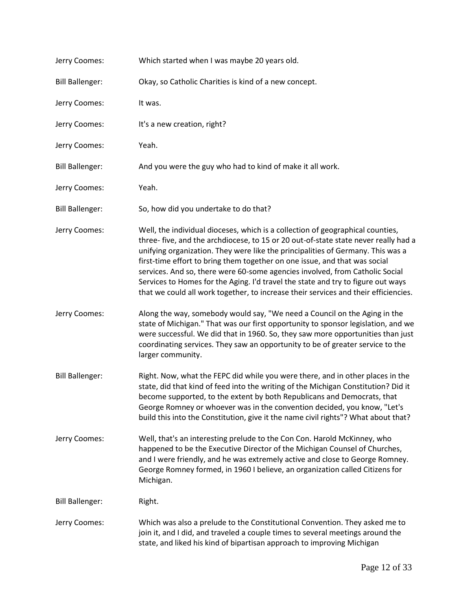| Jerry Coomes:          | Which started when I was maybe 20 years old.                                                                                                                                                                                                                                                                                                                                                                                                                                                                                                                                                      |
|------------------------|---------------------------------------------------------------------------------------------------------------------------------------------------------------------------------------------------------------------------------------------------------------------------------------------------------------------------------------------------------------------------------------------------------------------------------------------------------------------------------------------------------------------------------------------------------------------------------------------------|
| <b>Bill Ballenger:</b> | Okay, so Catholic Charities is kind of a new concept.                                                                                                                                                                                                                                                                                                                                                                                                                                                                                                                                             |
| Jerry Coomes:          | It was.                                                                                                                                                                                                                                                                                                                                                                                                                                                                                                                                                                                           |
| Jerry Coomes:          | It's a new creation, right?                                                                                                                                                                                                                                                                                                                                                                                                                                                                                                                                                                       |
| Jerry Coomes:          | Yeah.                                                                                                                                                                                                                                                                                                                                                                                                                                                                                                                                                                                             |
| <b>Bill Ballenger:</b> | And you were the guy who had to kind of make it all work.                                                                                                                                                                                                                                                                                                                                                                                                                                                                                                                                         |
| Jerry Coomes:          | Yeah.                                                                                                                                                                                                                                                                                                                                                                                                                                                                                                                                                                                             |
| <b>Bill Ballenger:</b> | So, how did you undertake to do that?                                                                                                                                                                                                                                                                                                                                                                                                                                                                                                                                                             |
| Jerry Coomes:          | Well, the individual dioceses, which is a collection of geographical counties,<br>three- five, and the archdiocese, to 15 or 20 out-of-state state never really had a<br>unifying organization. They were like the principalities of Germany. This was a<br>first-time effort to bring them together on one issue, and that was social<br>services. And so, there were 60-some agencies involved, from Catholic Social<br>Services to Homes for the Aging. I'd travel the state and try to figure out ways<br>that we could all work together, to increase their services and their efficiencies. |
| Jerry Coomes:          | Along the way, somebody would say, "We need a Council on the Aging in the<br>state of Michigan." That was our first opportunity to sponsor legislation, and we<br>were successful. We did that in 1960. So, they saw more opportunities than just<br>coordinating services. They saw an opportunity to be of greater service to the<br>larger community.                                                                                                                                                                                                                                          |
| <b>Bill Ballenger:</b> | Right. Now, what the FEPC did while you were there, and in other places in the<br>state, did that kind of feed into the writing of the Michigan Constitution? Did it<br>become supported, to the extent by both Republicans and Democrats, that<br>George Romney or whoever was in the convention decided, you know, "Let's<br>build this into the Constitution, give it the name civil rights"? What about that?                                                                                                                                                                                 |
| Jerry Coomes:          | Well, that's an interesting prelude to the Con Con. Harold McKinney, who<br>happened to be the Executive Director of the Michigan Counsel of Churches,<br>and I were friendly, and he was extremely active and close to George Romney.<br>George Romney formed, in 1960 I believe, an organization called Citizens for<br>Michigan.                                                                                                                                                                                                                                                               |
| <b>Bill Ballenger:</b> | Right.                                                                                                                                                                                                                                                                                                                                                                                                                                                                                                                                                                                            |
| Jerry Coomes:          | Which was also a prelude to the Constitutional Convention. They asked me to<br>join it, and I did, and traveled a couple times to several meetings around the<br>state, and liked his kind of bipartisan approach to improving Michigan                                                                                                                                                                                                                                                                                                                                                           |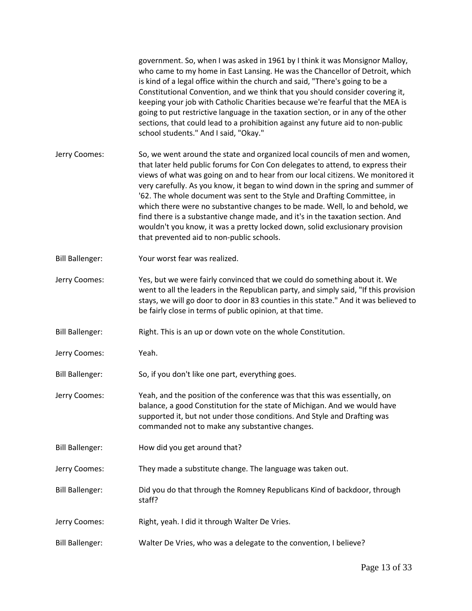|                        | government. So, when I was asked in 1961 by I think it was Monsignor Malloy,<br>who came to my home in East Lansing. He was the Chancellor of Detroit, which<br>is kind of a legal office within the church and said, "There's going to be a<br>Constitutional Convention, and we think that you should consider covering it,<br>keeping your job with Catholic Charities because we're fearful that the MEA is<br>going to put restrictive language in the taxation section, or in any of the other<br>sections, that could lead to a prohibition against any future aid to non-public<br>school students." And I said, "Okay."                                                                              |
|------------------------|---------------------------------------------------------------------------------------------------------------------------------------------------------------------------------------------------------------------------------------------------------------------------------------------------------------------------------------------------------------------------------------------------------------------------------------------------------------------------------------------------------------------------------------------------------------------------------------------------------------------------------------------------------------------------------------------------------------|
| Jerry Coomes:          | So, we went around the state and organized local councils of men and women,<br>that later held public forums for Con Con delegates to attend, to express their<br>views of what was going on and to hear from our local citizens. We monitored it<br>very carefully. As you know, it began to wind down in the spring and summer of<br>'62. The whole document was sent to the Style and Drafting Committee, in<br>which there were no substantive changes to be made. Well, lo and behold, we<br>find there is a substantive change made, and it's in the taxation section. And<br>wouldn't you know, it was a pretty locked down, solid exclusionary provision<br>that prevented aid to non-public schools. |
| <b>Bill Ballenger:</b> | Your worst fear was realized.                                                                                                                                                                                                                                                                                                                                                                                                                                                                                                                                                                                                                                                                                 |
| Jerry Coomes:          | Yes, but we were fairly convinced that we could do something about it. We<br>went to all the leaders in the Republican party, and simply said, "If this provision<br>stays, we will go door to door in 83 counties in this state." And it was believed to<br>be fairly close in terms of public opinion, at that time.                                                                                                                                                                                                                                                                                                                                                                                        |
| <b>Bill Ballenger:</b> | Right. This is an up or down vote on the whole Constitution.                                                                                                                                                                                                                                                                                                                                                                                                                                                                                                                                                                                                                                                  |
| Jerry Coomes:          | Yeah.                                                                                                                                                                                                                                                                                                                                                                                                                                                                                                                                                                                                                                                                                                         |
| <b>Bill Ballenger:</b> | So, if you don't like one part, everything goes.                                                                                                                                                                                                                                                                                                                                                                                                                                                                                                                                                                                                                                                              |
| Jerry Coomes:          | Yeah, and the position of the conference was that this was essentially, on<br>balance, a good Constitution for the state of Michigan. And we would have<br>supported it, but not under those conditions. And Style and Drafting was<br>commanded not to make any substantive changes.                                                                                                                                                                                                                                                                                                                                                                                                                         |
| <b>Bill Ballenger:</b> | How did you get around that?                                                                                                                                                                                                                                                                                                                                                                                                                                                                                                                                                                                                                                                                                  |
| Jerry Coomes:          | They made a substitute change. The language was taken out.                                                                                                                                                                                                                                                                                                                                                                                                                                                                                                                                                                                                                                                    |
| <b>Bill Ballenger:</b> | Did you do that through the Romney Republicans Kind of backdoor, through<br>staff?                                                                                                                                                                                                                                                                                                                                                                                                                                                                                                                                                                                                                            |
| Jerry Coomes:          | Right, yeah. I did it through Walter De Vries.                                                                                                                                                                                                                                                                                                                                                                                                                                                                                                                                                                                                                                                                |
| <b>Bill Ballenger:</b> | Walter De Vries, who was a delegate to the convention, I believe?                                                                                                                                                                                                                                                                                                                                                                                                                                                                                                                                                                                                                                             |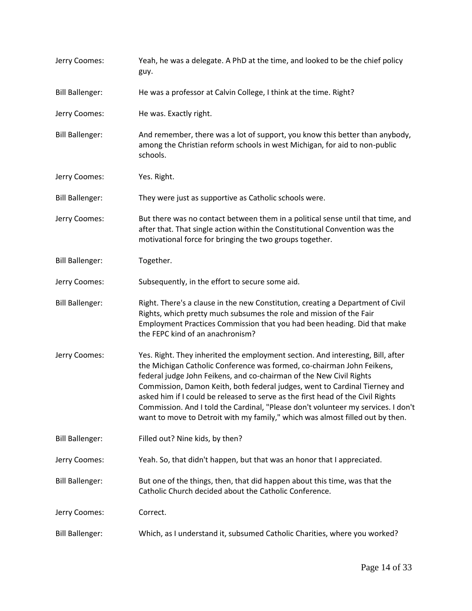| Jerry Coomes:          | Yeah, he was a delegate. A PhD at the time, and looked to be the chief policy<br>guy.                                                                                                                                                                                                                                                                                                                                                                                                                                                                                   |
|------------------------|-------------------------------------------------------------------------------------------------------------------------------------------------------------------------------------------------------------------------------------------------------------------------------------------------------------------------------------------------------------------------------------------------------------------------------------------------------------------------------------------------------------------------------------------------------------------------|
| <b>Bill Ballenger:</b> | He was a professor at Calvin College, I think at the time. Right?                                                                                                                                                                                                                                                                                                                                                                                                                                                                                                       |
| Jerry Coomes:          | He was. Exactly right.                                                                                                                                                                                                                                                                                                                                                                                                                                                                                                                                                  |
| <b>Bill Ballenger:</b> | And remember, there was a lot of support, you know this better than anybody,<br>among the Christian reform schools in west Michigan, for aid to non-public<br>schools.                                                                                                                                                                                                                                                                                                                                                                                                  |
| Jerry Coomes:          | Yes. Right.                                                                                                                                                                                                                                                                                                                                                                                                                                                                                                                                                             |
| <b>Bill Ballenger:</b> | They were just as supportive as Catholic schools were.                                                                                                                                                                                                                                                                                                                                                                                                                                                                                                                  |
| Jerry Coomes:          | But there was no contact between them in a political sense until that time, and<br>after that. That single action within the Constitutional Convention was the<br>motivational force for bringing the two groups together.                                                                                                                                                                                                                                                                                                                                              |
| <b>Bill Ballenger:</b> | Together.                                                                                                                                                                                                                                                                                                                                                                                                                                                                                                                                                               |
| Jerry Coomes:          | Subsequently, in the effort to secure some aid.                                                                                                                                                                                                                                                                                                                                                                                                                                                                                                                         |
| <b>Bill Ballenger:</b> | Right. There's a clause in the new Constitution, creating a Department of Civil<br>Rights, which pretty much subsumes the role and mission of the Fair<br>Employment Practices Commission that you had been heading. Did that make<br>the FEPC kind of an anachronism?                                                                                                                                                                                                                                                                                                  |
| Jerry Coomes:          | Yes. Right. They inherited the employment section. And interesting, Bill, after<br>the Michigan Catholic Conference was formed, co-chairman John Feikens,<br>federal judge John Feikens, and co-chairman of the New Civil Rights<br>Commission, Damon Keith, both federal judges, went to Cardinal Tierney and<br>asked him if I could be released to serve as the first head of the Civil Rights<br>Commission. And I told the Cardinal, "Please don't volunteer my services. I don't<br>want to move to Detroit with my family," which was almost filled out by then. |
| <b>Bill Ballenger:</b> | Filled out? Nine kids, by then?                                                                                                                                                                                                                                                                                                                                                                                                                                                                                                                                         |
| Jerry Coomes:          | Yeah. So, that didn't happen, but that was an honor that I appreciated.                                                                                                                                                                                                                                                                                                                                                                                                                                                                                                 |
| <b>Bill Ballenger:</b> | But one of the things, then, that did happen about this time, was that the<br>Catholic Church decided about the Catholic Conference.                                                                                                                                                                                                                                                                                                                                                                                                                                    |
| Jerry Coomes:          | Correct.                                                                                                                                                                                                                                                                                                                                                                                                                                                                                                                                                                |
| <b>Bill Ballenger:</b> | Which, as I understand it, subsumed Catholic Charities, where you worked?                                                                                                                                                                                                                                                                                                                                                                                                                                                                                               |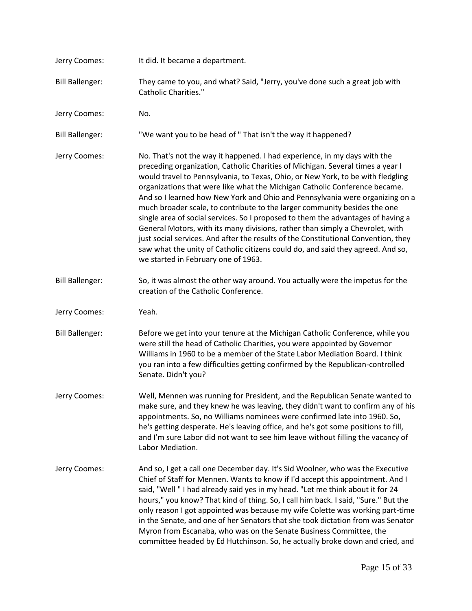| Jerry Coomes:          | It did. It became a department.                                                                                                                                                                                                                                                                                                                                                                                                                                                                                                                                                                                                                                                                                                                                                                                                                                                |
|------------------------|--------------------------------------------------------------------------------------------------------------------------------------------------------------------------------------------------------------------------------------------------------------------------------------------------------------------------------------------------------------------------------------------------------------------------------------------------------------------------------------------------------------------------------------------------------------------------------------------------------------------------------------------------------------------------------------------------------------------------------------------------------------------------------------------------------------------------------------------------------------------------------|
| <b>Bill Ballenger:</b> | They came to you, and what? Said, "Jerry, you've done such a great job with<br><b>Catholic Charities."</b>                                                                                                                                                                                                                                                                                                                                                                                                                                                                                                                                                                                                                                                                                                                                                                     |
| Jerry Coomes:          | No.                                                                                                                                                                                                                                                                                                                                                                                                                                                                                                                                                                                                                                                                                                                                                                                                                                                                            |
| <b>Bill Ballenger:</b> | "We want you to be head of " That isn't the way it happened?                                                                                                                                                                                                                                                                                                                                                                                                                                                                                                                                                                                                                                                                                                                                                                                                                   |
| Jerry Coomes:          | No. That's not the way it happened. I had experience, in my days with the<br>preceding organization, Catholic Charities of Michigan. Several times a year I<br>would travel to Pennsylvania, to Texas, Ohio, or New York, to be with fledgling<br>organizations that were like what the Michigan Catholic Conference became.<br>And so I learned how New York and Ohio and Pennsylvania were organizing on a<br>much broader scale, to contribute to the larger community besides the one<br>single area of social services. So I proposed to them the advantages of having a<br>General Motors, with its many divisions, rather than simply a Chevrolet, with<br>just social services. And after the results of the Constitutional Convention, they<br>saw what the unity of Catholic citizens could do, and said they agreed. And so,<br>we started in February one of 1963. |
| <b>Bill Ballenger:</b> | So, it was almost the other way around. You actually were the impetus for the<br>creation of the Catholic Conference.                                                                                                                                                                                                                                                                                                                                                                                                                                                                                                                                                                                                                                                                                                                                                          |
| Jerry Coomes:          | Yeah.                                                                                                                                                                                                                                                                                                                                                                                                                                                                                                                                                                                                                                                                                                                                                                                                                                                                          |
| <b>Bill Ballenger:</b> | Before we get into your tenure at the Michigan Catholic Conference, while you<br>were still the head of Catholic Charities, you were appointed by Governor<br>Williams in 1960 to be a member of the State Labor Mediation Board. I think<br>you ran into a few difficulties getting confirmed by the Republican-controlled<br>Senate. Didn't you?                                                                                                                                                                                                                                                                                                                                                                                                                                                                                                                             |
| Jerry Coomes:          | Well, Mennen was running for President, and the Republican Senate wanted to<br>make sure, and they knew he was leaving, they didn't want to confirm any of his<br>appointments. So, no Williams nominees were confirmed late into 1960. So,<br>he's getting desperate. He's leaving office, and he's got some positions to fill,<br>and I'm sure Labor did not want to see him leave without filling the vacancy of<br>Labor Mediation.                                                                                                                                                                                                                                                                                                                                                                                                                                        |
| Jerry Coomes:          | And so, I get a call one December day. It's Sid Woolner, who was the Executive<br>Chief of Staff for Mennen. Wants to know if I'd accept this appointment. And I<br>said, "Well" I had already said yes in my head. "Let me think about it for 24<br>hours," you know? That kind of thing. So, I call him back. I said, "Sure." But the<br>only reason I got appointed was because my wife Colette was working part-time<br>in the Senate, and one of her Senators that she took dictation from was Senator<br>Myron from Escanaba, who was on the Senate Business Committee, the<br>committee headed by Ed Hutchinson. So, he actually broke down and cried, and                                                                                                                                                                                                              |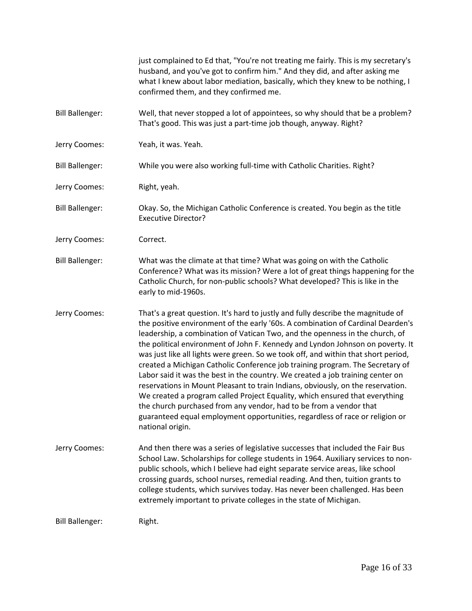|                        | just complained to Ed that, "You're not treating me fairly. This is my secretary's<br>husband, and you've got to confirm him." And they did, and after asking me<br>what I knew about labor mediation, basically, which they knew to be nothing, I<br>confirmed them, and they confirmed me.                                                                                                                                                                                                                                                                                                                                                                                                                                                                                                                                                                                                                                               |
|------------------------|--------------------------------------------------------------------------------------------------------------------------------------------------------------------------------------------------------------------------------------------------------------------------------------------------------------------------------------------------------------------------------------------------------------------------------------------------------------------------------------------------------------------------------------------------------------------------------------------------------------------------------------------------------------------------------------------------------------------------------------------------------------------------------------------------------------------------------------------------------------------------------------------------------------------------------------------|
| <b>Bill Ballenger:</b> | Well, that never stopped a lot of appointees, so why should that be a problem?<br>That's good. This was just a part-time job though, anyway. Right?                                                                                                                                                                                                                                                                                                                                                                                                                                                                                                                                                                                                                                                                                                                                                                                        |
| Jerry Coomes:          | Yeah, it was. Yeah.                                                                                                                                                                                                                                                                                                                                                                                                                                                                                                                                                                                                                                                                                                                                                                                                                                                                                                                        |
| <b>Bill Ballenger:</b> | While you were also working full-time with Catholic Charities. Right?                                                                                                                                                                                                                                                                                                                                                                                                                                                                                                                                                                                                                                                                                                                                                                                                                                                                      |
| Jerry Coomes:          | Right, yeah.                                                                                                                                                                                                                                                                                                                                                                                                                                                                                                                                                                                                                                                                                                                                                                                                                                                                                                                               |
| <b>Bill Ballenger:</b> | Okay. So, the Michigan Catholic Conference is created. You begin as the title<br><b>Executive Director?</b>                                                                                                                                                                                                                                                                                                                                                                                                                                                                                                                                                                                                                                                                                                                                                                                                                                |
| Jerry Coomes:          | Correct.                                                                                                                                                                                                                                                                                                                                                                                                                                                                                                                                                                                                                                                                                                                                                                                                                                                                                                                                   |
| <b>Bill Ballenger:</b> | What was the climate at that time? What was going on with the Catholic<br>Conference? What was its mission? Were a lot of great things happening for the<br>Catholic Church, for non-public schools? What developed? This is like in the<br>early to mid-1960s.                                                                                                                                                                                                                                                                                                                                                                                                                                                                                                                                                                                                                                                                            |
| Jerry Coomes:          | That's a great question. It's hard to justly and fully describe the magnitude of<br>the positive environment of the early '60s. A combination of Cardinal Dearden's<br>leadership, a combination of Vatican Two, and the openness in the church, of<br>the political environment of John F. Kennedy and Lyndon Johnson on poverty. It<br>was just like all lights were green. So we took off, and within that short period,<br>created a Michigan Catholic Conference job training program. The Secretary of<br>Labor said it was the best in the country. We created a job training center on<br>reservations in Mount Pleasant to train Indians, obviously, on the reservation.<br>We created a program called Project Equality, which ensured that everything<br>the church purchased from any vendor, had to be from a vendor that<br>guaranteed equal employment opportunities, regardless of race or religion or<br>national origin. |
| Jerry Coomes:          | And then there was a series of legislative successes that included the Fair Bus<br>School Law. Scholarships for college students in 1964. Auxiliary services to non-<br>public schools, which I believe had eight separate service areas, like school<br>crossing guards, school nurses, remedial reading. And then, tuition grants to<br>college students, which survives today. Has never been challenged. Has been<br>extremely important to private colleges in the state of Michigan.                                                                                                                                                                                                                                                                                                                                                                                                                                                 |
| <b>Bill Ballenger:</b> | Right.                                                                                                                                                                                                                                                                                                                                                                                                                                                                                                                                                                                                                                                                                                                                                                                                                                                                                                                                     |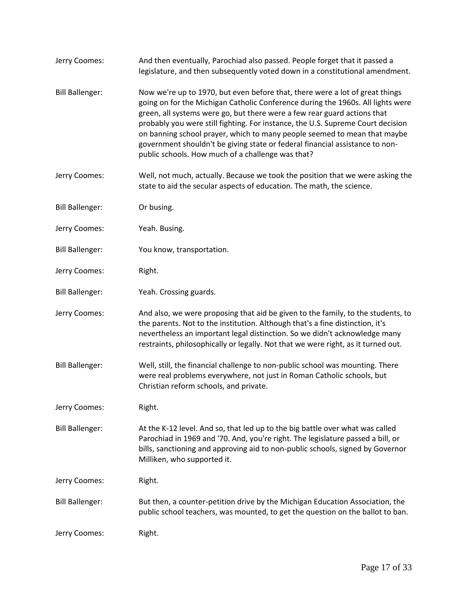| Jerry Coomes:          | And then eventually, Parochiad also passed. People forget that it passed a<br>legislature, and then subsequently voted down in a constitutional amendment.                                                                                                                                                                                                                                                                                                                                                                                      |
|------------------------|-------------------------------------------------------------------------------------------------------------------------------------------------------------------------------------------------------------------------------------------------------------------------------------------------------------------------------------------------------------------------------------------------------------------------------------------------------------------------------------------------------------------------------------------------|
| <b>Bill Ballenger:</b> | Now we're up to 1970, but even before that, there were a lot of great things<br>going on for the Michigan Catholic Conference during the 1960s. All lights were<br>green, all systems were go, but there were a few rear guard actions that<br>probably you were still fighting. For instance, the U.S. Supreme Court decision<br>on banning school prayer, which to many people seemed to mean that maybe<br>government shouldn't be giving state or federal financial assistance to non-<br>public schools. How much of a challenge was that? |
| Jerry Coomes:          | Well, not much, actually. Because we took the position that we were asking the<br>state to aid the secular aspects of education. The math, the science.                                                                                                                                                                                                                                                                                                                                                                                         |
| <b>Bill Ballenger:</b> | Or busing.                                                                                                                                                                                                                                                                                                                                                                                                                                                                                                                                      |
| Jerry Coomes:          | Yeah. Busing.                                                                                                                                                                                                                                                                                                                                                                                                                                                                                                                                   |
| <b>Bill Ballenger:</b> | You know, transportation.                                                                                                                                                                                                                                                                                                                                                                                                                                                                                                                       |
| Jerry Coomes:          | Right.                                                                                                                                                                                                                                                                                                                                                                                                                                                                                                                                          |
| <b>Bill Ballenger:</b> | Yeah. Crossing guards.                                                                                                                                                                                                                                                                                                                                                                                                                                                                                                                          |
| Jerry Coomes:          | And also, we were proposing that aid be given to the family, to the students, to<br>the parents. Not to the institution. Although that's a fine distinction, it's<br>nevertheless an important legal distinction. So we didn't acknowledge many<br>restraints, philosophically or legally. Not that we were right, as it turned out.                                                                                                                                                                                                            |
| <b>Bill Ballenger:</b> | Well, still, the financial challenge to non-public school was mounting. There<br>were real problems everywhere, not just in Roman Catholic schools, but<br>Christian reform schools, and private.                                                                                                                                                                                                                                                                                                                                               |
| Jerry Coomes:          | Right.                                                                                                                                                                                                                                                                                                                                                                                                                                                                                                                                          |
| <b>Bill Ballenger:</b> | At the K-12 level. And so, that led up to the big battle over what was called<br>Parochiad in 1969 and '70. And, you're right. The legislature passed a bill, or<br>bills, sanctioning and approving aid to non-public schools, signed by Governor<br>Milliken, who supported it.                                                                                                                                                                                                                                                               |
| Jerry Coomes:          | Right.                                                                                                                                                                                                                                                                                                                                                                                                                                                                                                                                          |
| <b>Bill Ballenger:</b> | But then, a counter-petition drive by the Michigan Education Association, the<br>public school teachers, was mounted, to get the question on the ballot to ban.                                                                                                                                                                                                                                                                                                                                                                                 |
| Jerry Coomes:          | Right.                                                                                                                                                                                                                                                                                                                                                                                                                                                                                                                                          |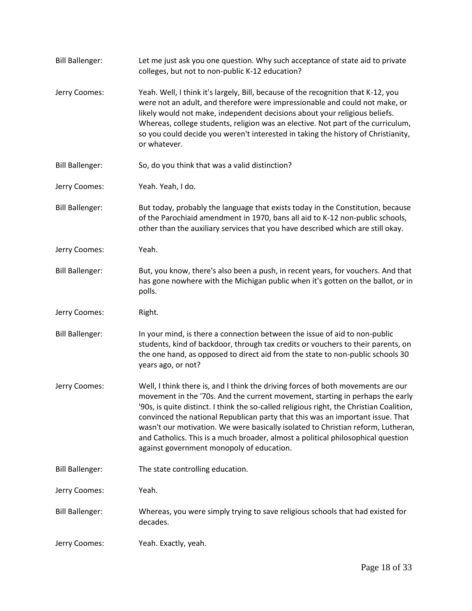| <b>Bill Ballenger:</b> | Let me just ask you one question. Why such acceptance of state aid to private<br>colleges, but not to non-public K-12 education?                                                                                                                                                                                                                                                                                                                                                                                                                                     |
|------------------------|----------------------------------------------------------------------------------------------------------------------------------------------------------------------------------------------------------------------------------------------------------------------------------------------------------------------------------------------------------------------------------------------------------------------------------------------------------------------------------------------------------------------------------------------------------------------|
| Jerry Coomes:          | Yeah. Well, I think it's largely, Bill, because of the recognition that K-12, you<br>were not an adult, and therefore were impressionable and could not make, or<br>likely would not make, independent decisions about your religious beliefs.<br>Whereas, college students, religion was an elective. Not part of the curriculum,<br>so you could decide you weren't interested in taking the history of Christianity,<br>or whatever.                                                                                                                              |
| <b>Bill Ballenger:</b> | So, do you think that was a valid distinction?                                                                                                                                                                                                                                                                                                                                                                                                                                                                                                                       |
| Jerry Coomes:          | Yeah. Yeah, I do.                                                                                                                                                                                                                                                                                                                                                                                                                                                                                                                                                    |
| <b>Bill Ballenger:</b> | But today, probably the language that exists today in the Constitution, because<br>of the Parochiaid amendment in 1970, bans all aid to K-12 non-public schools,<br>other than the auxiliary services that you have described which are still okay.                                                                                                                                                                                                                                                                                                                  |
| Jerry Coomes:          | Yeah.                                                                                                                                                                                                                                                                                                                                                                                                                                                                                                                                                                |
| <b>Bill Ballenger:</b> | But, you know, there's also been a push, in recent years, for vouchers. And that<br>has gone nowhere with the Michigan public when it's gotten on the ballot, or in<br>polls.                                                                                                                                                                                                                                                                                                                                                                                        |
| Jerry Coomes:          | Right.                                                                                                                                                                                                                                                                                                                                                                                                                                                                                                                                                               |
| <b>Bill Ballenger:</b> | In your mind, is there a connection between the issue of aid to non-public<br>students, kind of backdoor, through tax credits or vouchers to their parents, on<br>the one hand, as opposed to direct aid from the state to non-public schools 30<br>years ago, or not?                                                                                                                                                                                                                                                                                               |
| Jerry Coomes:          | Well, I think there is, and I think the driving forces of both movements are our<br>movement in the '70s. And the current movement, starting in perhaps the early<br>'90s, is quite distinct. I think the so-called religious right, the Christian Coalition,<br>convinced the national Republican party that this was an important issue. That<br>wasn't our motivation. We were basically isolated to Christian reform, Lutheran,<br>and Catholics. This is a much broader, almost a political philosophical question<br>against government monopoly of education. |
| <b>Bill Ballenger:</b> | The state controlling education.                                                                                                                                                                                                                                                                                                                                                                                                                                                                                                                                     |
| Jerry Coomes:          | Yeah.                                                                                                                                                                                                                                                                                                                                                                                                                                                                                                                                                                |
| <b>Bill Ballenger:</b> | Whereas, you were simply trying to save religious schools that had existed for<br>decades.                                                                                                                                                                                                                                                                                                                                                                                                                                                                           |
| Jerry Coomes:          | Yeah. Exactly, yeah.                                                                                                                                                                                                                                                                                                                                                                                                                                                                                                                                                 |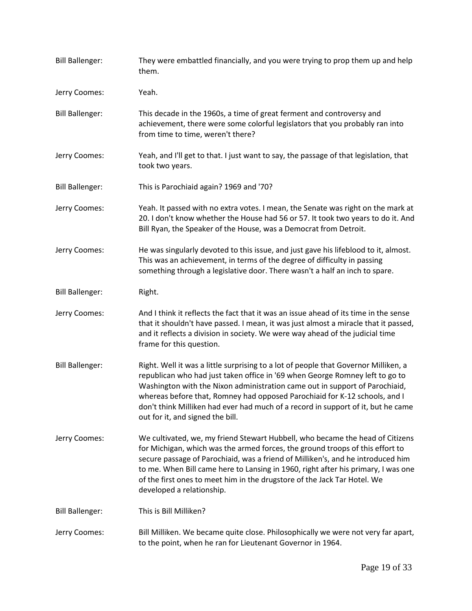| <b>Bill Ballenger:</b> | They were embattled financially, and you were trying to prop them up and help<br>them.                                                                                                                                                                                                                                                                                                                                                                   |
|------------------------|----------------------------------------------------------------------------------------------------------------------------------------------------------------------------------------------------------------------------------------------------------------------------------------------------------------------------------------------------------------------------------------------------------------------------------------------------------|
| Jerry Coomes:          | Yeah.                                                                                                                                                                                                                                                                                                                                                                                                                                                    |
| <b>Bill Ballenger:</b> | This decade in the 1960s, a time of great ferment and controversy and<br>achievement, there were some colorful legislators that you probably ran into<br>from time to time, weren't there?                                                                                                                                                                                                                                                               |
| Jerry Coomes:          | Yeah, and I'll get to that. I just want to say, the passage of that legislation, that<br>took two years.                                                                                                                                                                                                                                                                                                                                                 |
| <b>Bill Ballenger:</b> | This is Parochiaid again? 1969 and '70?                                                                                                                                                                                                                                                                                                                                                                                                                  |
| Jerry Coomes:          | Yeah. It passed with no extra votes. I mean, the Senate was right on the mark at<br>20. I don't know whether the House had 56 or 57. It took two years to do it. And<br>Bill Ryan, the Speaker of the House, was a Democrat from Detroit.                                                                                                                                                                                                                |
| Jerry Coomes:          | He was singularly devoted to this issue, and just gave his lifeblood to it, almost.<br>This was an achievement, in terms of the degree of difficulty in passing<br>something through a legislative door. There wasn't a half an inch to spare.                                                                                                                                                                                                           |
| <b>Bill Ballenger:</b> | Right.                                                                                                                                                                                                                                                                                                                                                                                                                                                   |
| Jerry Coomes:          | And I think it reflects the fact that it was an issue ahead of its time in the sense<br>that it shouldn't have passed. I mean, it was just almost a miracle that it passed,<br>and it reflects a division in society. We were way ahead of the judicial time<br>frame for this question.                                                                                                                                                                 |
| <b>Bill Ballenger:</b> | Right. Well it was a little surprising to a lot of people that Governor Milliken, a<br>republican who had just taken office in '69 when George Romney left to go to<br>Washington with the Nixon administration came out in support of Parochiaid,<br>whereas before that, Romney had opposed Parochiaid for K-12 schools, and I<br>don't think Milliken had ever had much of a record in support of it, but he came<br>out for it, and signed the bill. |
| Jerry Coomes:          | We cultivated, we, my friend Stewart Hubbell, who became the head of Citizens<br>for Michigan, which was the armed forces, the ground troops of this effort to<br>secure passage of Parochiaid, was a friend of Milliken's, and he introduced him<br>to me. When Bill came here to Lansing in 1960, right after his primary, I was one<br>of the first ones to meet him in the drugstore of the Jack Tar Hotel. We<br>developed a relationship.          |
| <b>Bill Ballenger:</b> | This is Bill Milliken?                                                                                                                                                                                                                                                                                                                                                                                                                                   |
| Jerry Coomes:          | Bill Milliken. We became quite close. Philosophically we were not very far apart,<br>to the point, when he ran for Lieutenant Governor in 1964.                                                                                                                                                                                                                                                                                                          |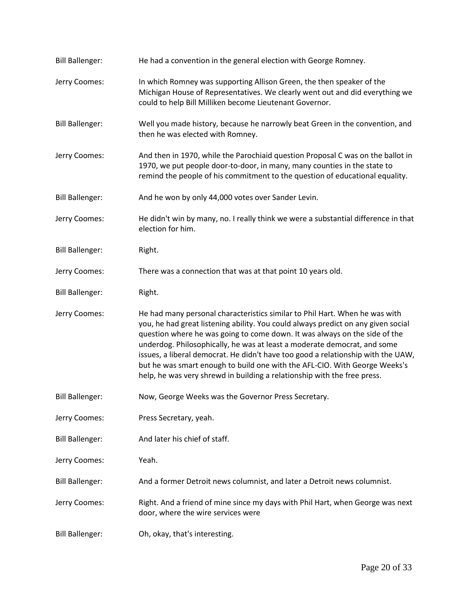| <b>Bill Ballenger:</b> | He had a convention in the general election with George Romney.                                                                                                                                                                                                                                                                                                                                                                                                                                                                                                          |
|------------------------|--------------------------------------------------------------------------------------------------------------------------------------------------------------------------------------------------------------------------------------------------------------------------------------------------------------------------------------------------------------------------------------------------------------------------------------------------------------------------------------------------------------------------------------------------------------------------|
| Jerry Coomes:          | In which Romney was supporting Allison Green, the then speaker of the<br>Michigan House of Representatives. We clearly went out and did everything we<br>could to help Bill Milliken become Lieutenant Governor.                                                                                                                                                                                                                                                                                                                                                         |
| <b>Bill Ballenger:</b> | Well you made history, because he narrowly beat Green in the convention, and<br>then he was elected with Romney.                                                                                                                                                                                                                                                                                                                                                                                                                                                         |
| Jerry Coomes:          | And then in 1970, while the Parochiaid question Proposal C was on the ballot in<br>1970, we put people door-to-door, in many, many counties in the state to<br>remind the people of his commitment to the question of educational equality.                                                                                                                                                                                                                                                                                                                              |
| <b>Bill Ballenger:</b> | And he won by only 44,000 votes over Sander Levin.                                                                                                                                                                                                                                                                                                                                                                                                                                                                                                                       |
| Jerry Coomes:          | He didn't win by many, no. I really think we were a substantial difference in that<br>election for him.                                                                                                                                                                                                                                                                                                                                                                                                                                                                  |
| <b>Bill Ballenger:</b> | Right.                                                                                                                                                                                                                                                                                                                                                                                                                                                                                                                                                                   |
| Jerry Coomes:          | There was a connection that was at that point 10 years old.                                                                                                                                                                                                                                                                                                                                                                                                                                                                                                              |
| <b>Bill Ballenger:</b> | Right.                                                                                                                                                                                                                                                                                                                                                                                                                                                                                                                                                                   |
| Jerry Coomes:          | He had many personal characteristics similar to Phil Hart. When he was with<br>you, he had great listening ability. You could always predict on any given social<br>question where he was going to come down. It was always on the side of the<br>underdog. Philosophically, he was at least a moderate democrat, and some<br>issues, a liberal democrat. He didn't have too good a relationship with the UAW,<br>but he was smart enough to build one with the AFL-CIO. With George Weeks's<br>help, he was very shrewd in building a relationship with the free press. |
| <b>Bill Ballenger:</b> | Now, George Weeks was the Governor Press Secretary.                                                                                                                                                                                                                                                                                                                                                                                                                                                                                                                      |
| Jerry Coomes:          | Press Secretary, yeah.                                                                                                                                                                                                                                                                                                                                                                                                                                                                                                                                                   |
| <b>Bill Ballenger:</b> | And later his chief of staff.                                                                                                                                                                                                                                                                                                                                                                                                                                                                                                                                            |
| Jerry Coomes:          | Yeah.                                                                                                                                                                                                                                                                                                                                                                                                                                                                                                                                                                    |
| <b>Bill Ballenger:</b> | And a former Detroit news columnist, and later a Detroit news columnist.                                                                                                                                                                                                                                                                                                                                                                                                                                                                                                 |
| Jerry Coomes:          | Right. And a friend of mine since my days with Phil Hart, when George was next<br>door, where the wire services were                                                                                                                                                                                                                                                                                                                                                                                                                                                     |
| <b>Bill Ballenger:</b> | Oh, okay, that's interesting.                                                                                                                                                                                                                                                                                                                                                                                                                                                                                                                                            |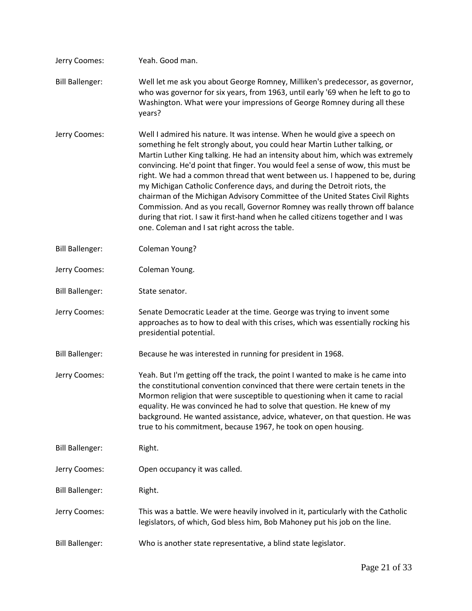| Jerry Coomes:          | Yeah. Good man.                                                                                                                                                                                                                                                                                                                                                                                                                                                                                                                                                                                                                                                                                                                                                                                |
|------------------------|------------------------------------------------------------------------------------------------------------------------------------------------------------------------------------------------------------------------------------------------------------------------------------------------------------------------------------------------------------------------------------------------------------------------------------------------------------------------------------------------------------------------------------------------------------------------------------------------------------------------------------------------------------------------------------------------------------------------------------------------------------------------------------------------|
| <b>Bill Ballenger:</b> | Well let me ask you about George Romney, Milliken's predecessor, as governor,<br>who was governor for six years, from 1963, until early '69 when he left to go to<br>Washington. What were your impressions of George Romney during all these<br>years?                                                                                                                                                                                                                                                                                                                                                                                                                                                                                                                                        |
| Jerry Coomes:          | Well I admired his nature. It was intense. When he would give a speech on<br>something he felt strongly about, you could hear Martin Luther talking, or<br>Martin Luther King talking. He had an intensity about him, which was extremely<br>convincing. He'd point that finger. You would feel a sense of wow, this must be<br>right. We had a common thread that went between us. I happened to be, during<br>my Michigan Catholic Conference days, and during the Detroit riots, the<br>chairman of the Michigan Advisory Committee of the United States Civil Rights<br>Commission. And as you recall, Governor Romney was really thrown off balance<br>during that riot. I saw it first-hand when he called citizens together and I was<br>one. Coleman and I sat right across the table. |
| <b>Bill Ballenger:</b> | Coleman Young?                                                                                                                                                                                                                                                                                                                                                                                                                                                                                                                                                                                                                                                                                                                                                                                 |
| Jerry Coomes:          | Coleman Young.                                                                                                                                                                                                                                                                                                                                                                                                                                                                                                                                                                                                                                                                                                                                                                                 |
| <b>Bill Ballenger:</b> | State senator.                                                                                                                                                                                                                                                                                                                                                                                                                                                                                                                                                                                                                                                                                                                                                                                 |
| Jerry Coomes:          | Senate Democratic Leader at the time. George was trying to invent some<br>approaches as to how to deal with this crises, which was essentially rocking his<br>presidential potential.                                                                                                                                                                                                                                                                                                                                                                                                                                                                                                                                                                                                          |
| <b>Bill Ballenger:</b> | Because he was interested in running for president in 1968.                                                                                                                                                                                                                                                                                                                                                                                                                                                                                                                                                                                                                                                                                                                                    |
| Jerry Coomes:          | Yeah. But I'm getting off the track, the point I wanted to make is he came into<br>the constitutional convention convinced that there were certain tenets in the<br>Mormon religion that were susceptible to questioning when it came to racial<br>equality. He was convinced he had to solve that question. He knew of my<br>background. He wanted assistance, advice, whatever, on that question. He was<br>true to his commitment, because 1967, he took on open housing.                                                                                                                                                                                                                                                                                                                   |
| <b>Bill Ballenger:</b> | Right.                                                                                                                                                                                                                                                                                                                                                                                                                                                                                                                                                                                                                                                                                                                                                                                         |
| Jerry Coomes:          | Open occupancy it was called.                                                                                                                                                                                                                                                                                                                                                                                                                                                                                                                                                                                                                                                                                                                                                                  |
| <b>Bill Ballenger:</b> | Right.                                                                                                                                                                                                                                                                                                                                                                                                                                                                                                                                                                                                                                                                                                                                                                                         |
| Jerry Coomes:          | This was a battle. We were heavily involved in it, particularly with the Catholic<br>legislators, of which, God bless him, Bob Mahoney put his job on the line.                                                                                                                                                                                                                                                                                                                                                                                                                                                                                                                                                                                                                                |
| <b>Bill Ballenger:</b> | Who is another state representative, a blind state legislator.                                                                                                                                                                                                                                                                                                                                                                                                                                                                                                                                                                                                                                                                                                                                 |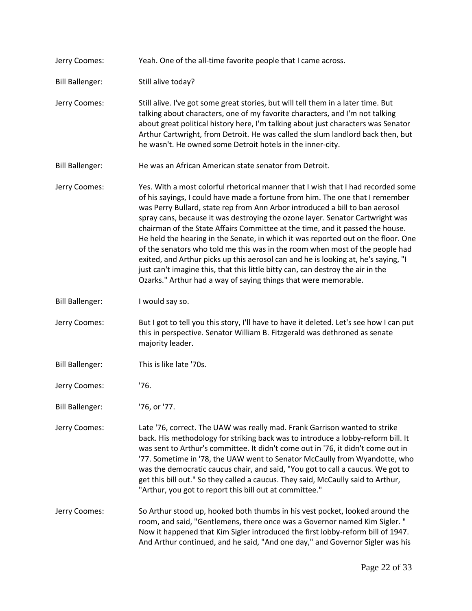| Jerry Coomes:          | Yeah. One of the all-time favorite people that I came across.                                                                                                                                                                                                                                                                                                                                                                                                                                                                                                                                                                                                                                                                                                                                                                        |
|------------------------|--------------------------------------------------------------------------------------------------------------------------------------------------------------------------------------------------------------------------------------------------------------------------------------------------------------------------------------------------------------------------------------------------------------------------------------------------------------------------------------------------------------------------------------------------------------------------------------------------------------------------------------------------------------------------------------------------------------------------------------------------------------------------------------------------------------------------------------|
| <b>Bill Ballenger:</b> | Still alive today?                                                                                                                                                                                                                                                                                                                                                                                                                                                                                                                                                                                                                                                                                                                                                                                                                   |
| Jerry Coomes:          | Still alive. I've got some great stories, but will tell them in a later time. But<br>talking about characters, one of my favorite characters, and I'm not talking<br>about great political history here, I'm talking about just characters was Senator<br>Arthur Cartwright, from Detroit. He was called the slum landlord back then, but<br>he wasn't. He owned some Detroit hotels in the inner-city.                                                                                                                                                                                                                                                                                                                                                                                                                              |
| <b>Bill Ballenger:</b> | He was an African American state senator from Detroit.                                                                                                                                                                                                                                                                                                                                                                                                                                                                                                                                                                                                                                                                                                                                                                               |
| Jerry Coomes:          | Yes. With a most colorful rhetorical manner that I wish that I had recorded some<br>of his sayings, I could have made a fortune from him. The one that I remember<br>was Perry Bullard, state rep from Ann Arbor introduced a bill to ban aerosol<br>spray cans, because it was destroying the ozone layer. Senator Cartwright was<br>chairman of the State Affairs Committee at the time, and it passed the house.<br>He held the hearing in the Senate, in which it was reported out on the floor. One<br>of the senators who told me this was in the room when most of the people had<br>exited, and Arthur picks up this aerosol can and he is looking at, he's saying, "I<br>just can't imagine this, that this little bitty can, can destroy the air in the<br>Ozarks." Arthur had a way of saying things that were memorable. |
| <b>Bill Ballenger:</b> | I would say so.                                                                                                                                                                                                                                                                                                                                                                                                                                                                                                                                                                                                                                                                                                                                                                                                                      |
| Jerry Coomes:          | But I got to tell you this story, I'll have to have it deleted. Let's see how I can put<br>this in perspective. Senator William B. Fitzgerald was dethroned as senate<br>majority leader.                                                                                                                                                                                                                                                                                                                                                                                                                                                                                                                                                                                                                                            |
| <b>Bill Ballenger:</b> | This is like late '70s.                                                                                                                                                                                                                                                                                                                                                                                                                                                                                                                                                                                                                                                                                                                                                                                                              |
| Jerry Coomes:          | '76.                                                                                                                                                                                                                                                                                                                                                                                                                                                                                                                                                                                                                                                                                                                                                                                                                                 |
| <b>Bill Ballenger:</b> | '76, or '77.                                                                                                                                                                                                                                                                                                                                                                                                                                                                                                                                                                                                                                                                                                                                                                                                                         |
| Jerry Coomes:          | Late '76, correct. The UAW was really mad. Frank Garrison wanted to strike<br>back. His methodology for striking back was to introduce a lobby-reform bill. It<br>was sent to Arthur's committee. It didn't come out in '76, it didn't come out in<br>'77. Sometime in '78, the UAW went to Senator McCaully from Wyandotte, who<br>was the democratic caucus chair, and said, "You got to call a caucus. We got to<br>get this bill out." So they called a caucus. They said, McCaully said to Arthur,<br>"Arthur, you got to report this bill out at committee."                                                                                                                                                                                                                                                                   |
| Jerry Coomes:          | So Arthur stood up, hooked both thumbs in his vest pocket, looked around the<br>room, and said, "Gentlemens, there once was a Governor named Kim Sigler."<br>Now it happened that Kim Sigler introduced the first lobby-reform bill of 1947.<br>And Arthur continued, and he said, "And one day," and Governor Sigler was his                                                                                                                                                                                                                                                                                                                                                                                                                                                                                                        |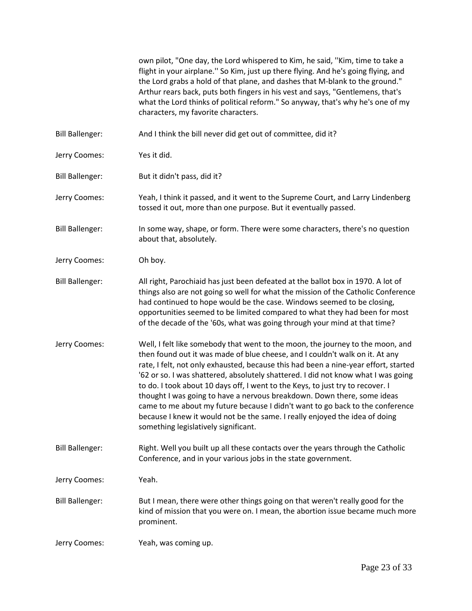own pilot, "One day, the Lord whispered to Kim, he said, ''Kim, time to take a flight in your airplane.'' So Kim, just up there flying. And he's going flying, and the Lord grabs a hold of that plane, and dashes that M-blank to the ground." Arthur rears back, puts both fingers in his vest and says, "Gentlemens, that's what the Lord thinks of political reform." So anyway, that's why he's one of my characters, my favorite characters.

- Bill Ballenger: And I think the bill never did get out of committee, did it?
- Jerry Coomes: Yes it did.
- Bill Ballenger: But it didn't pass, did it?
- Jerry Coomes: Yeah, I think it passed, and it went to the Supreme Court, and Larry Lindenberg tossed it out, more than one purpose. But it eventually passed.
- Bill Ballenger: In some way, shape, or form. There were some characters, there's no question about that, absolutely.
- Jerry Coomes: Oh boy.
- Bill Ballenger: All right, Parochiaid has just been defeated at the ballot box in 1970. A lot of things also are not going so well for what the mission of the Catholic Conference had continued to hope would be the case. Windows seemed to be closing, opportunities seemed to be limited compared to what they had been for most of the decade of the '60s, what was going through your mind at that time?
- Jerry Coomes: Well, I felt like somebody that went to the moon, the journey to the moon, and then found out it was made of blue cheese, and I couldn't walk on it. At any rate, I felt, not only exhausted, because this had been a nine-year effort, started '62 or so. I was shattered, absolutely shattered. I did not know what I was going to do. I took about 10 days off, I went to the Keys, to just try to recover. I thought I was going to have a nervous breakdown. Down there, some ideas came to me about my future because I didn't want to go back to the conference because I knew it would not be the same. I really enjoyed the idea of doing something legislatively significant.
- Bill Ballenger: Right. Well you built up all these contacts over the years through the Catholic Conference, and in your various jobs in the state government.

Jerry Coomes: Yeah.

- Bill Ballenger: But I mean, there were other things going on that weren't really good for the kind of mission that you were on. I mean, the abortion issue became much more prominent.
- Jerry Coomes: Yeah, was coming up.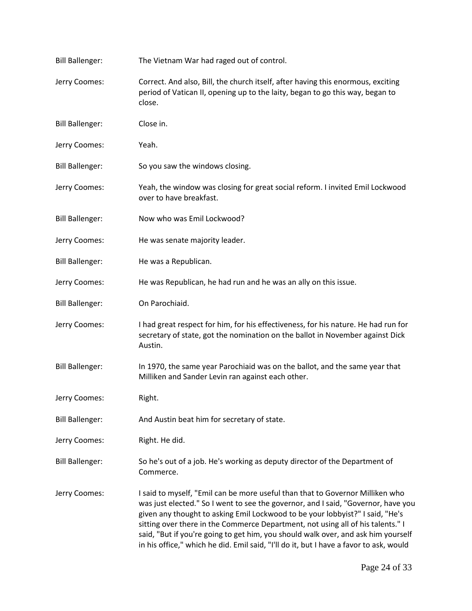| <b>Bill Ballenger:</b> | The Vietnam War had raged out of control.                                                                                                                                                                                                                                                                                                                                                                                                                                                                             |
|------------------------|-----------------------------------------------------------------------------------------------------------------------------------------------------------------------------------------------------------------------------------------------------------------------------------------------------------------------------------------------------------------------------------------------------------------------------------------------------------------------------------------------------------------------|
| Jerry Coomes:          | Correct. And also, Bill, the church itself, after having this enormous, exciting<br>period of Vatican II, opening up to the laity, began to go this way, began to<br>close.                                                                                                                                                                                                                                                                                                                                           |
| <b>Bill Ballenger:</b> | Close in.                                                                                                                                                                                                                                                                                                                                                                                                                                                                                                             |
| Jerry Coomes:          | Yeah.                                                                                                                                                                                                                                                                                                                                                                                                                                                                                                                 |
| <b>Bill Ballenger:</b> | So you saw the windows closing.                                                                                                                                                                                                                                                                                                                                                                                                                                                                                       |
| Jerry Coomes:          | Yeah, the window was closing for great social reform. I invited Emil Lockwood<br>over to have breakfast.                                                                                                                                                                                                                                                                                                                                                                                                              |
| <b>Bill Ballenger:</b> | Now who was Emil Lockwood?                                                                                                                                                                                                                                                                                                                                                                                                                                                                                            |
| Jerry Coomes:          | He was senate majority leader.                                                                                                                                                                                                                                                                                                                                                                                                                                                                                        |
| <b>Bill Ballenger:</b> | He was a Republican.                                                                                                                                                                                                                                                                                                                                                                                                                                                                                                  |
| Jerry Coomes:          | He was Republican, he had run and he was an ally on this issue.                                                                                                                                                                                                                                                                                                                                                                                                                                                       |
| <b>Bill Ballenger:</b> | On Parochiaid.                                                                                                                                                                                                                                                                                                                                                                                                                                                                                                        |
| Jerry Coomes:          | I had great respect for him, for his effectiveness, for his nature. He had run for<br>secretary of state, got the nomination on the ballot in November against Dick<br>Austin.                                                                                                                                                                                                                                                                                                                                        |
| <b>Bill Ballenger:</b> | In 1970, the same year Parochiaid was on the ballot, and the same year that<br>Milliken and Sander Levin ran against each other.                                                                                                                                                                                                                                                                                                                                                                                      |
| Jerry Coomes:          | Right.                                                                                                                                                                                                                                                                                                                                                                                                                                                                                                                |
| <b>Bill Ballenger:</b> | And Austin beat him for secretary of state.                                                                                                                                                                                                                                                                                                                                                                                                                                                                           |
| Jerry Coomes:          | Right. He did.                                                                                                                                                                                                                                                                                                                                                                                                                                                                                                        |
| <b>Bill Ballenger:</b> | So he's out of a job. He's working as deputy director of the Department of<br>Commerce.                                                                                                                                                                                                                                                                                                                                                                                                                               |
| Jerry Coomes:          | I said to myself, "Emil can be more useful than that to Governor Milliken who<br>was just elected." So I went to see the governor, and I said, "Governor, have you<br>given any thought to asking Emil Lockwood to be your lobbyist?" I said, "He's<br>sitting over there in the Commerce Department, not using all of his talents." I<br>said, "But if you're going to get him, you should walk over, and ask him yourself<br>in his office," which he did. Emil said, "I'll do it, but I have a favor to ask, would |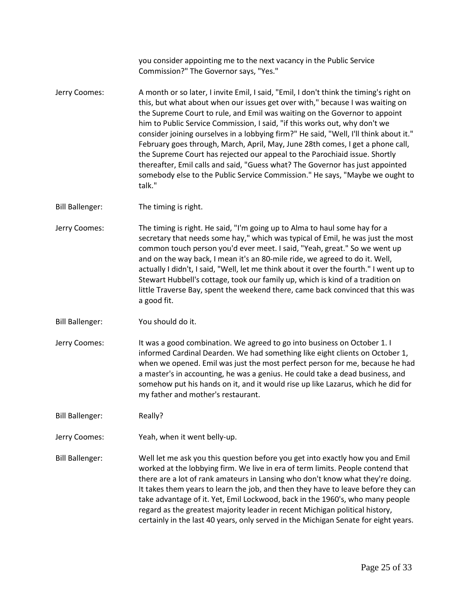you consider appointing me to the next vacancy in the Public Service Commission?" The Governor says, "Yes." Jerry Coomes: A month or so later, I invite Emil, I said, "Emil, I don't think the timing's right on this, but what about when our issues get over with," because I was waiting on the Supreme Court to rule, and Emil was waiting on the Governor to appoint him to Public Service Commission, I said, "if this works out, why don't we consider joining ourselves in a lobbying firm?" He said, "Well, I'll think about it." February goes through, March, April, May, June 28th comes, I get a phone call, the Supreme Court has rejected our appeal to the Parochiaid issue. Shortly thereafter, Emil calls and said, "Guess what? The Governor has just appointed somebody else to the Public Service Commission." He says, "Maybe we ought to talk." Bill Ballenger: The timing is right. Jerry Coomes: The timing is right. He said, "I'm going up to Alma to haul some hay for a secretary that needs some hay," which was typical of Emil, he was just the most common touch person you'd ever meet. I said, "Yeah, great." So we went up and on the way back, I mean it's an 80-mile ride, we agreed to do it. Well, actually I didn't, I said, "Well, let me think about it over the fourth." I went up to Stewart Hubbell's cottage, took our family up, which is kind of a tradition on little Traverse Bay, spent the weekend there, came back convinced that this was a good fit. Bill Ballenger: You should do it. Jerry Coomes: It was a good combination. We agreed to go into business on October 1. I informed Cardinal Dearden. We had something like eight clients on October 1, when we opened. Emil was just the most perfect person for me, because he had a master's in accounting, he was a genius. He could take a dead business, and somehow put his hands on it, and it would rise up like Lazarus, which he did for my father and mother's restaurant. Bill Ballenger: Really? Jerry Coomes: Yeah, when it went belly-up. Bill Ballenger: Well let me ask you this question before you get into exactly how you and Emil worked at the lobbying firm. We live in era of term limits. People contend that there are a lot of rank amateurs in Lansing who don't know what they're doing. It takes them years to learn the job, and then they have to leave before they can take advantage of it. Yet, Emil Lockwood, back in the 1960's, who many people regard as the greatest majority leader in recent Michigan political history, certainly in the last 40 years, only served in the Michigan Senate for eight years.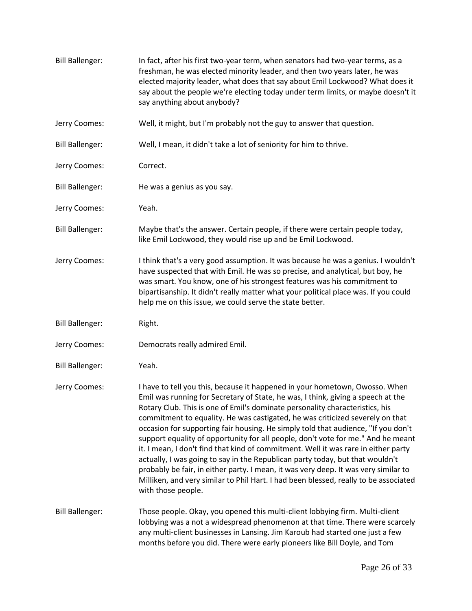| <b>Bill Ballenger:</b> | In fact, after his first two-year term, when senators had two-year terms, as a<br>freshman, he was elected minority leader, and then two years later, he was<br>elected majority leader, what does that say about Emil Lockwood? What does it<br>say about the people we're electing today under term limits, or maybe doesn't it<br>say anything about anybody?                                                                                                                                                                                                                                                                                                                                                                                                                                                                                                                      |
|------------------------|---------------------------------------------------------------------------------------------------------------------------------------------------------------------------------------------------------------------------------------------------------------------------------------------------------------------------------------------------------------------------------------------------------------------------------------------------------------------------------------------------------------------------------------------------------------------------------------------------------------------------------------------------------------------------------------------------------------------------------------------------------------------------------------------------------------------------------------------------------------------------------------|
| Jerry Coomes:          | Well, it might, but I'm probably not the guy to answer that question.                                                                                                                                                                                                                                                                                                                                                                                                                                                                                                                                                                                                                                                                                                                                                                                                                 |
| <b>Bill Ballenger:</b> | Well, I mean, it didn't take a lot of seniority for him to thrive.                                                                                                                                                                                                                                                                                                                                                                                                                                                                                                                                                                                                                                                                                                                                                                                                                    |
| Jerry Coomes:          | Correct.                                                                                                                                                                                                                                                                                                                                                                                                                                                                                                                                                                                                                                                                                                                                                                                                                                                                              |
| <b>Bill Ballenger:</b> | He was a genius as you say.                                                                                                                                                                                                                                                                                                                                                                                                                                                                                                                                                                                                                                                                                                                                                                                                                                                           |
| Jerry Coomes:          | Yeah.                                                                                                                                                                                                                                                                                                                                                                                                                                                                                                                                                                                                                                                                                                                                                                                                                                                                                 |
| <b>Bill Ballenger:</b> | Maybe that's the answer. Certain people, if there were certain people today,<br>like Emil Lockwood, they would rise up and be Emil Lockwood.                                                                                                                                                                                                                                                                                                                                                                                                                                                                                                                                                                                                                                                                                                                                          |
| Jerry Coomes:          | I think that's a very good assumption. It was because he was a genius. I wouldn't<br>have suspected that with Emil. He was so precise, and analytical, but boy, he<br>was smart. You know, one of his strongest features was his commitment to<br>bipartisanship. It didn't really matter what your political place was. If you could<br>help me on this issue, we could serve the state better.                                                                                                                                                                                                                                                                                                                                                                                                                                                                                      |
| <b>Bill Ballenger:</b> | Right.                                                                                                                                                                                                                                                                                                                                                                                                                                                                                                                                                                                                                                                                                                                                                                                                                                                                                |
| Jerry Coomes:          | Democrats really admired Emil.                                                                                                                                                                                                                                                                                                                                                                                                                                                                                                                                                                                                                                                                                                                                                                                                                                                        |
| <b>Bill Ballenger:</b> | Yeah.                                                                                                                                                                                                                                                                                                                                                                                                                                                                                                                                                                                                                                                                                                                                                                                                                                                                                 |
| Jerry Coomes:          | I have to tell you this, because it happened in your hometown, Owosso. When<br>Emil was running for Secretary of State, he was, I think, giving a speech at the<br>Rotary Club. This is one of Emil's dominate personality characteristics, his<br>commitment to equality. He was castigated, he was criticized severely on that<br>occasion for supporting fair housing. He simply told that audience, "If you don't<br>support equality of opportunity for all people, don't vote for me." And he meant<br>it. I mean, I don't find that kind of commitment. Well it was rare in either party<br>actually, I was going to say in the Republican party today, but that wouldn't<br>probably be fair, in either party. I mean, it was very deep. It was very similar to<br>Milliken, and very similar to Phil Hart. I had been blessed, really to be associated<br>with those people. |
| <b>Bill Ballenger:</b> | Those people. Okay, you opened this multi-client lobbying firm. Multi-client<br>lobbying was a not a widespread phenomenon at that time. There were scarcely<br>any multi-client businesses in Lansing. Jim Karoub had started one just a few<br>months before you did. There were early pioneers like Bill Doyle, and Tom                                                                                                                                                                                                                                                                                                                                                                                                                                                                                                                                                            |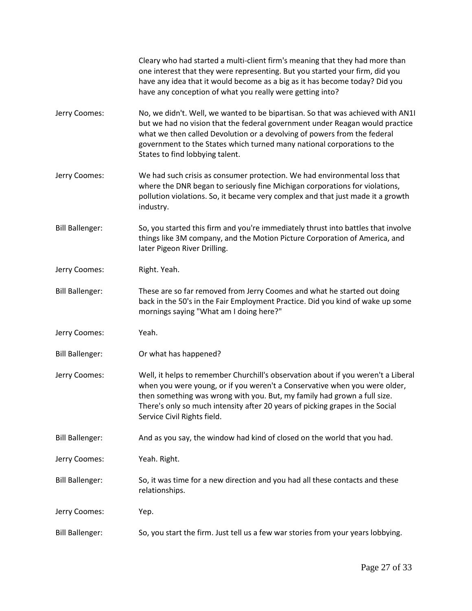|                        | Cleary who had started a multi-client firm's meaning that they had more than<br>one interest that they were representing. But you started your firm, did you<br>have any idea that it would become as a big as it has become today? Did you<br>have any conception of what you really were getting into?                                                    |
|------------------------|-------------------------------------------------------------------------------------------------------------------------------------------------------------------------------------------------------------------------------------------------------------------------------------------------------------------------------------------------------------|
| Jerry Coomes:          | No, we didn't. Well, we wanted to be bipartisan. So that was achieved with AN1I<br>but we had no vision that the federal government under Reagan would practice<br>what we then called Devolution or a devolving of powers from the federal<br>government to the States which turned many national corporations to the<br>States to find lobbying talent.   |
| Jerry Coomes:          | We had such crisis as consumer protection. We had environmental loss that<br>where the DNR began to seriously fine Michigan corporations for violations,<br>pollution violations. So, it became very complex and that just made it a growth<br>industry.                                                                                                    |
| <b>Bill Ballenger:</b> | So, you started this firm and you're immediately thrust into battles that involve<br>things like 3M company, and the Motion Picture Corporation of America, and<br>later Pigeon River Drilling.                                                                                                                                                             |
| Jerry Coomes:          | Right. Yeah.                                                                                                                                                                                                                                                                                                                                                |
| <b>Bill Ballenger:</b> | These are so far removed from Jerry Coomes and what he started out doing<br>back in the 50's in the Fair Employment Practice. Did you kind of wake up some<br>mornings saying "What am I doing here?"                                                                                                                                                       |
| Jerry Coomes:          | Yeah.                                                                                                                                                                                                                                                                                                                                                       |
| <b>Bill Ballenger:</b> | Or what has happened?                                                                                                                                                                                                                                                                                                                                       |
| Jerry Coomes:          | Well, it helps to remember Churchill's observation about if you weren't a Liberal<br>when you were young, or if you weren't a Conservative when you were older,<br>then something was wrong with you. But, my family had grown a full size.<br>There's only so much intensity after 20 years of picking grapes in the Social<br>Service Civil Rights field. |
| <b>Bill Ballenger:</b> | And as you say, the window had kind of closed on the world that you had.                                                                                                                                                                                                                                                                                    |
| Jerry Coomes:          | Yeah. Right.                                                                                                                                                                                                                                                                                                                                                |
| <b>Bill Ballenger:</b> | So, it was time for a new direction and you had all these contacts and these<br>relationships.                                                                                                                                                                                                                                                              |
| Jerry Coomes:          | Yep.                                                                                                                                                                                                                                                                                                                                                        |
| <b>Bill Ballenger:</b> | So, you start the firm. Just tell us a few war stories from your years lobbying.                                                                                                                                                                                                                                                                            |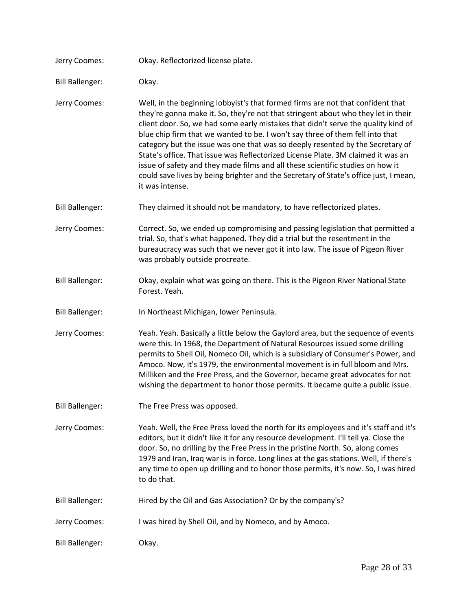Jerry Coomes: Okay. Reflectorized license plate. Bill Ballenger: Okay. Jerry Coomes: Well, in the beginning lobbyist's that formed firms are not that confident that they're gonna make it. So, they're not that stringent about who they let in their client door. So, we had some early mistakes that didn't serve the quality kind of blue chip firm that we wanted to be. I won't say three of them fell into that category but the issue was one that was so deeply resented by the Secretary of State's office. That issue was Reflectorized License Plate. 3M claimed it was an issue of safety and they made films and all these scientific studies on how it could save lives by being brighter and the Secretary of State's office just, I mean, it was intense. Bill Ballenger: They claimed it should not be mandatory, to have reflectorized plates. Jerry Coomes: Correct. So, we ended up compromising and passing legislation that permitted a trial. So, that's what happened. They did a trial but the resentment in the bureaucracy was such that we never got it into law. The issue of Pigeon River was probably outside procreate. Bill Ballenger: Okay, explain what was going on there. This is the Pigeon River National State Forest. Yeah. Bill Ballenger: In Northeast Michigan, lower Peninsula. Jerry Coomes: Yeah. Yeah. Basically a little below the Gaylord area, but the sequence of events were this. In 1968, the Department of Natural Resources issued some drilling permits to Shell Oil, Nomeco Oil, which is a subsidiary of Consumer's Power, and Amoco. Now, it's 1979, the environmental movement is in full bloom and Mrs. Milliken and the Free Press, and the Governor, became great advocates for not wishing the department to honor those permits. It became quite a public issue. Bill Ballenger: The Free Press was opposed. Jerry Coomes: Yeah. Well, the Free Press loved the north for its employees and it's staff and it's editors, but it didn't like it for any resource development. I'll tell ya. Close the door. So, no drilling by the Free Press in the pristine North. So, along comes 1979 and Iran, Iraq war is in force. Long lines at the gas stations. Well, if there's any time to open up drilling and to honor those permits, it's now. So, I was hired to do that. Bill Ballenger: Hired by the Oil and Gas Association? Or by the company's? Jerry Coomes: I was hired by Shell Oil, and by Nomeco, and by Amoco. Bill Ballenger: Okay.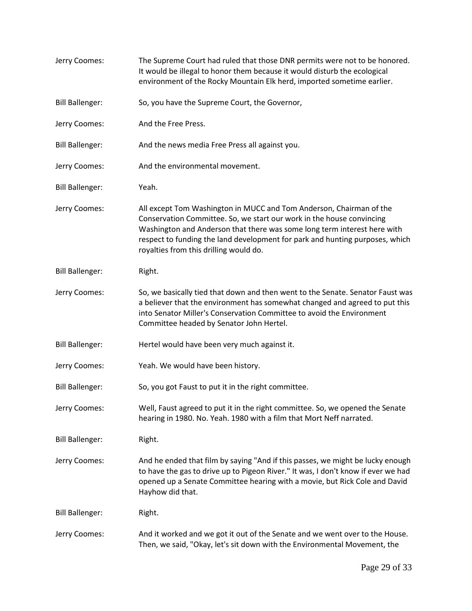| Jerry Coomes:          | The Supreme Court had ruled that those DNR permits were not to be honored.<br>It would be illegal to honor them because it would disturb the ecological<br>environment of the Rocky Mountain Elk herd, imported sometime earlier.                                                                                                                  |
|------------------------|----------------------------------------------------------------------------------------------------------------------------------------------------------------------------------------------------------------------------------------------------------------------------------------------------------------------------------------------------|
| <b>Bill Ballenger:</b> | So, you have the Supreme Court, the Governor,                                                                                                                                                                                                                                                                                                      |
| Jerry Coomes:          | And the Free Press.                                                                                                                                                                                                                                                                                                                                |
| <b>Bill Ballenger:</b> | And the news media Free Press all against you.                                                                                                                                                                                                                                                                                                     |
| Jerry Coomes:          | And the environmental movement.                                                                                                                                                                                                                                                                                                                    |
| <b>Bill Ballenger:</b> | Yeah.                                                                                                                                                                                                                                                                                                                                              |
| Jerry Coomes:          | All except Tom Washington in MUCC and Tom Anderson, Chairman of the<br>Conservation Committee. So, we start our work in the house convincing<br>Washington and Anderson that there was some long term interest here with<br>respect to funding the land development for park and hunting purposes, which<br>royalties from this drilling would do. |
| <b>Bill Ballenger:</b> | Right.                                                                                                                                                                                                                                                                                                                                             |
| Jerry Coomes:          | So, we basically tied that down and then went to the Senate. Senator Faust was<br>a believer that the environment has somewhat changed and agreed to put this<br>into Senator Miller's Conservation Committee to avoid the Environment<br>Committee headed by Senator John Hertel.                                                                 |
| <b>Bill Ballenger:</b> | Hertel would have been very much against it.                                                                                                                                                                                                                                                                                                       |
| Jerry Coomes:          | Yeah. We would have been history.                                                                                                                                                                                                                                                                                                                  |
| <b>Bill Ballenger:</b> | So, you got Faust to put it in the right committee.                                                                                                                                                                                                                                                                                                |
| Jerry Coomes:          | Well, Faust agreed to put it in the right committee. So, we opened the Senate<br>hearing in 1980. No. Yeah. 1980 with a film that Mort Neff narrated.                                                                                                                                                                                              |
| <b>Bill Ballenger:</b> | Right.                                                                                                                                                                                                                                                                                                                                             |
| Jerry Coomes:          | And he ended that film by saying "And if this passes, we might be lucky enough<br>to have the gas to drive up to Pigeon River." It was, I don't know if ever we had<br>opened up a Senate Committee hearing with a movie, but Rick Cole and David<br>Hayhow did that.                                                                              |
| <b>Bill Ballenger:</b> | Right.                                                                                                                                                                                                                                                                                                                                             |
| Jerry Coomes:          | And it worked and we got it out of the Senate and we went over to the House.<br>Then, we said, "Okay, let's sit down with the Environmental Movement, the                                                                                                                                                                                          |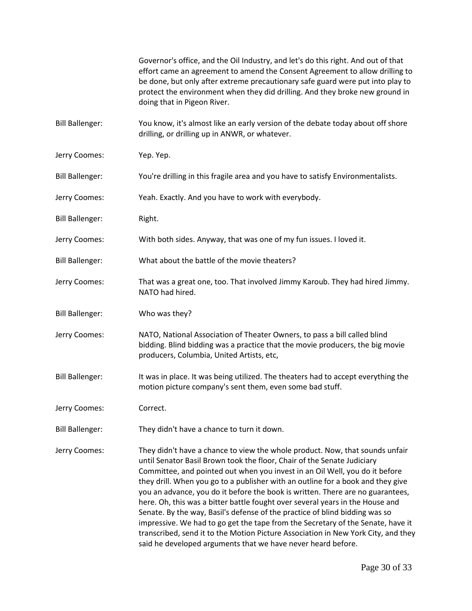Governor's office, and the Oil Industry, and let's do this right. And out of that effort came an agreement to amend the Consent Agreement to allow drilling to be done, but only after extreme precautionary safe guard were put into play to protect the environment when they did drilling. And they broke new ground in doing that in Pigeon River.

- Bill Ballenger: You know, it's almost like an early version of the debate today about off shore drilling, or drilling up in ANWR, or whatever.
- Jerry Coomes: Yep. Yep.
- Bill Ballenger: You're drilling in this fragile area and you have to satisfy Environmentalists.
- Jerry Coomes: Yeah. Exactly. And you have to work with everybody.
- Bill Ballenger: Right.
- Jerry Coomes: With both sides. Anyway, that was one of my fun issues. I loved it.
- Bill Ballenger: What about the battle of the movie theaters?
- Jerry Coomes: That was a great one, too. That involved Jimmy Karoub. They had hired Jimmy. NATO had hired.
- Bill Ballenger: Who was they?
- Jerry Coomes: NATO, National Association of Theater Owners, to pass a bill called blind bidding. Blind bidding was a practice that the movie producers, the big movie producers, Columbia, United Artists, etc,
- Bill Ballenger: It was in place. It was being utilized. The theaters had to accept everything the motion picture company's sent them, even some bad stuff.
- Jerry Coomes: Correct.
- Bill Ballenger: They didn't have a chance to turn it down.
- Jerry Coomes: They didn't have a chance to view the whole product. Now, that sounds unfair until Senator Basil Brown took the floor, Chair of the Senate Judiciary Committee, and pointed out when you invest in an Oil Well, you do it before they drill. When you go to a publisher with an outline for a book and they give you an advance, you do it before the book is written. There are no guarantees, here. Oh, this was a bitter battle fought over several years in the House and Senate. By the way, Basil's defense of the practice of blind bidding was so impressive. We had to go get the tape from the Secretary of the Senate, have it transcribed, send it to the Motion Picture Association in New York City, and they said he developed arguments that we have never heard before.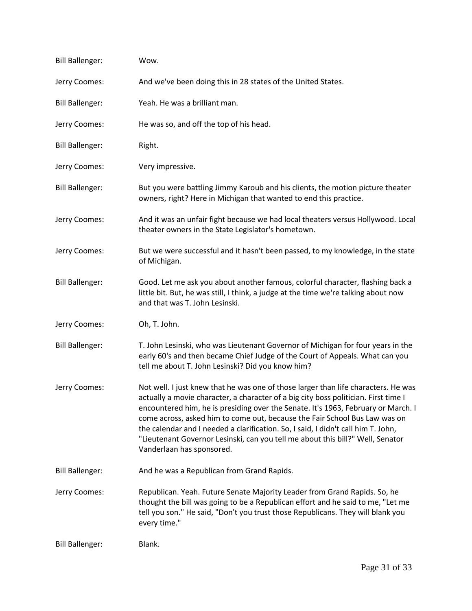| <b>Bill Ballenger:</b> | Wow.                                                                                                                                                                                                                                                                                                                                                                                                                                                                                                                                             |
|------------------------|--------------------------------------------------------------------------------------------------------------------------------------------------------------------------------------------------------------------------------------------------------------------------------------------------------------------------------------------------------------------------------------------------------------------------------------------------------------------------------------------------------------------------------------------------|
| Jerry Coomes:          | And we've been doing this in 28 states of the United States.                                                                                                                                                                                                                                                                                                                                                                                                                                                                                     |
| <b>Bill Ballenger:</b> | Yeah. He was a brilliant man.                                                                                                                                                                                                                                                                                                                                                                                                                                                                                                                    |
| Jerry Coomes:          | He was so, and off the top of his head.                                                                                                                                                                                                                                                                                                                                                                                                                                                                                                          |
| <b>Bill Ballenger:</b> | Right.                                                                                                                                                                                                                                                                                                                                                                                                                                                                                                                                           |
| Jerry Coomes:          | Very impressive.                                                                                                                                                                                                                                                                                                                                                                                                                                                                                                                                 |
| <b>Bill Ballenger:</b> | But you were battling Jimmy Karoub and his clients, the motion picture theater<br>owners, right? Here in Michigan that wanted to end this practice.                                                                                                                                                                                                                                                                                                                                                                                              |
| Jerry Coomes:          | And it was an unfair fight because we had local theaters versus Hollywood. Local<br>theater owners in the State Legislator's hometown.                                                                                                                                                                                                                                                                                                                                                                                                           |
| Jerry Coomes:          | But we were successful and it hasn't been passed, to my knowledge, in the state<br>of Michigan.                                                                                                                                                                                                                                                                                                                                                                                                                                                  |
| <b>Bill Ballenger:</b> | Good. Let me ask you about another famous, colorful character, flashing back a<br>little bit. But, he was still, I think, a judge at the time we're talking about now<br>and that was T. John Lesinski.                                                                                                                                                                                                                                                                                                                                          |
| Jerry Coomes:          | Oh, T. John.                                                                                                                                                                                                                                                                                                                                                                                                                                                                                                                                     |
| <b>Bill Ballenger:</b> | T. John Lesinski, who was Lieutenant Governor of Michigan for four years in the<br>early 60's and then became Chief Judge of the Court of Appeals. What can you<br>tell me about T. John Lesinski? Did you know him?                                                                                                                                                                                                                                                                                                                             |
| Jerry Coomes:          | Not well. I just knew that he was one of those larger than life characters. He was<br>actually a movie character, a character of a big city boss politician. First time I<br>encountered him, he is presiding over the Senate. It's 1963, February or March. I<br>come across, asked him to come out, because the Fair School Bus Law was on<br>the calendar and I needed a clarification. So, I said, I didn't call him T. John,<br>"Lieutenant Governor Lesinski, can you tell me about this bill?" Well, Senator<br>Vanderlaan has sponsored. |
| <b>Bill Ballenger:</b> | And he was a Republican from Grand Rapids.                                                                                                                                                                                                                                                                                                                                                                                                                                                                                                       |
| Jerry Coomes:          | Republican. Yeah. Future Senate Majority Leader from Grand Rapids. So, he<br>thought the bill was going to be a Republican effort and he said to me, "Let me<br>tell you son." He said, "Don't you trust those Republicans. They will blank you<br>every time."                                                                                                                                                                                                                                                                                  |
| <b>Bill Ballenger:</b> | Blank.                                                                                                                                                                                                                                                                                                                                                                                                                                                                                                                                           |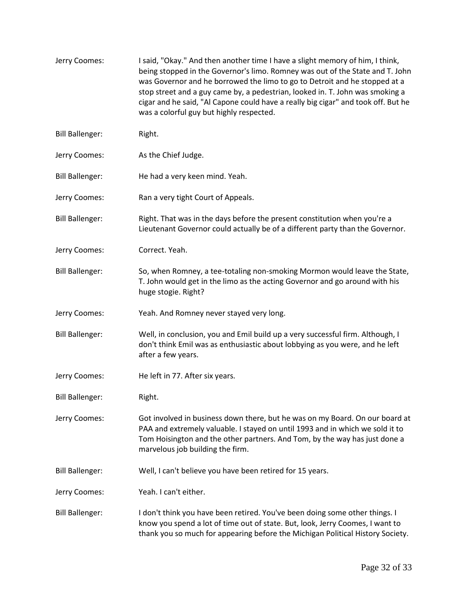Jerry Coomes: I said, "Okay." And then another time I have a slight memory of him, I think, being stopped in the Governor's limo. Romney was out of the State and T. John was Governor and he borrowed the limo to go to Detroit and he stopped at a stop street and a guy came by, a pedestrian, looked in. T. John was smoking a cigar and he said, "Al Capone could have a really big cigar" and took off. But he was a colorful guy but highly respected. Bill Ballenger: Right. Jerry Coomes: As the Chief Judge. Bill Ballenger: He had a very keen mind. Yeah. Jerry Coomes: Ran a very tight Court of Appeals. Bill Ballenger: Right. That was in the days before the present constitution when you're a Lieutenant Governor could actually be of a different party than the Governor. Jerry Coomes: Correct. Yeah. Bill Ballenger: So, when Romney, a tee-totaling non-smoking Mormon would leave the State, T. John would get in the limo as the acting Governor and go around with his huge stogie. Right? Jerry Coomes: Yeah. And Romney never stayed very long. Bill Ballenger: Well, in conclusion, you and Emil build up a very successful firm. Although, I don't think Emil was as enthusiastic about lobbying as you were, and he left after a few years. Jerry Coomes: He left in 77. After six years. Bill Ballenger: Right. Jerry Coomes: Got involved in business down there, but he was on my Board. On our board at PAA and extremely valuable. I stayed on until 1993 and in which we sold it to Tom Hoisington and the other partners. And Tom, by the way has just done a marvelous job building the firm. Bill Ballenger: Well, I can't believe you have been retired for 15 years. Jerry Coomes: Yeah. I can't either. Bill Ballenger: I don't think you have been retired. You've been doing some other things. I know you spend a lot of time out of state. But, look, Jerry Coomes, I want to thank you so much for appearing before the Michigan Political History Society.